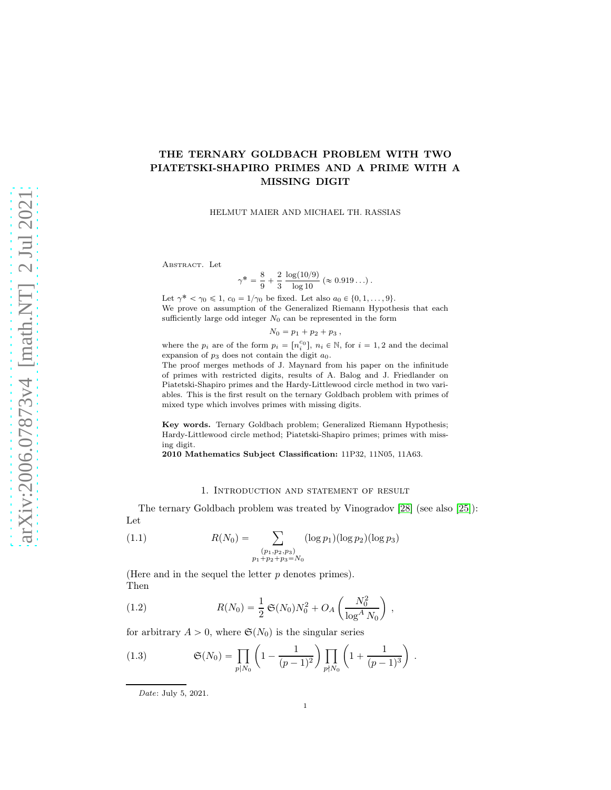# THE TERNARY GOLDBACH PROBLEM WITH TWO PIATETSKI-SHAPIRO PRIMES AND A PRIME WITH A MISSING DIGIT

HELMUT MAIER AND MICHAEL TH. RASSIAS

ABSTRACT. Let

$$
\gamma^* = \frac{8}{9} + \frac{2}{3} \frac{\log(10/9)}{\log 10} (\approx 0.919...).
$$

Let  $\gamma^* < \gamma_0 \leq 1$ ,  $c_0 = 1/\gamma_0$  be fixed. Let also  $a_0 \in \{0, 1, ..., 9\}$ . We prove on assumption of the Generalized Riemann Hypothesis that each sufficiently large odd integer  $N_0$  can be represented in the form

$$
N_0 = p_1 + p_2 + p_3,
$$

where the  $p_i$  are of the form  $p_i = [n_i^{c_0}]$ ,  $n_i \in \mathbb{N}$ , for  $i = 1, 2$  and the decimal expansion of  $p_3$  does not contain the digit  $a_0$ .

The proof merges methods of J. Maynard from his paper on the infinitude of primes with restricted digits, results of A. Balog and J. Friedlander on Piatetski-Shapiro primes and the Hardy-Littlewood circle method in two variables. This is the first result on the ternary Goldbach problem with primes of mixed type which involves primes with missing digits.

Key words. Ternary Goldbach problem; Generalized Riemann Hypothesis; Hardy-Littlewood circle method; Piatetski-Shapiro primes; primes with missing digit.

2010 Mathematics Subject Classification: 11P32, 11N05, 11A63.

#### 1. Introduction and statement of result

The ternary Goldbach problem was treated by Vinogradov [\[28\]](#page-38-0) (see also [\[25\]](#page-38-1)): Let

(1.1) 
$$
R(N_0) = \sum_{\substack{(p_1, p_2, p_3) \ p_1 + p_2 + p_3 = N_0}} (\log p_1)(\log p_2)(\log p_3)
$$

(Here and in the sequel the letter  $p$  denotes primes). Then

(1.2) 
$$
R(N_0) = \frac{1}{2} \mathfrak{S}(N_0) N_0^2 + O_A \left( \frac{N_0^2}{\log^A N_0} \right) ,
$$

for arbitrary  $A > 0$ , where  $\mathfrak{S}(N_0)$  is the singular series

(1.3) 
$$
\mathfrak{S}(N_0) = \prod_{p|N_0} \left(1 - \frac{1}{(p-1)^2}\right) \prod_{p\nmid N_0} \left(1 + \frac{1}{(p-1)^3}\right).
$$

Date: July 5, 2021.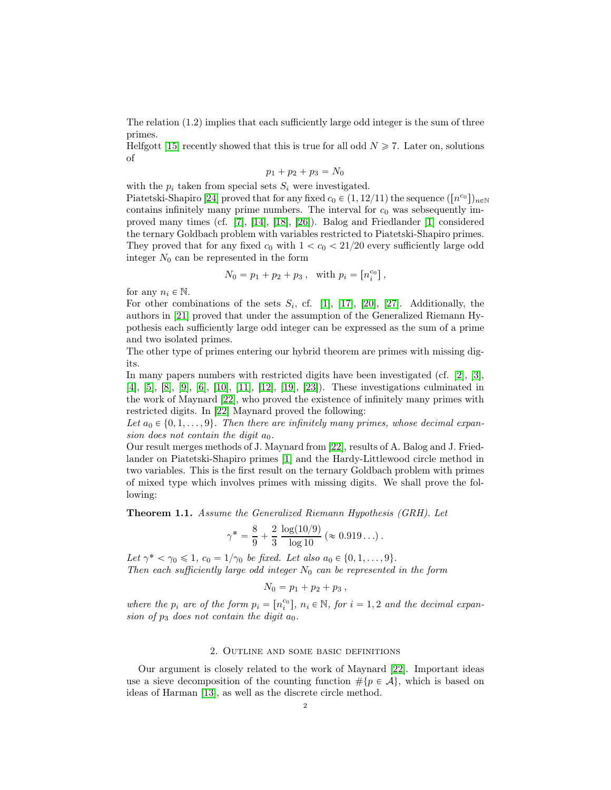The relation (1.2) implies that each sufficiently large odd integer is the sum of three primes.

Helfgott [\[15\]](#page-38-2) recently showed that this is true for all odd  $N \ge 7$ . Later on, solutions of

$$
p_1 + p_2 + p_3 = N_0
$$

with the  $p_i$  taken from special sets  $S_i$  were investigated.

Piatetski-Shapiro [\[24\]](#page-38-3) proved that for any fixed  $c_0 \in (1, 12/11)$  the sequence  $([n^{c_0}])_{n \in \mathbb{N}}$ contains infinitely many prime numbers. The interval for  $c_0$  was sebsequently improved many times (cf. [\[7\]](#page-37-0), [\[14\]](#page-38-4), [\[18\]](#page-38-5), [\[26\]](#page-38-6)). Balog and Friedlander [\[1\]](#page-37-1) considered the ternary Goldbach problem with variables restricted to Piatetski-Shapiro primes. They proved that for any fixed  $c_0$  with  $1 < c_0 < 21/20$  every sufficiently large odd integer  $N_0$  can be represented in the form

$$
N_0 = p_1 + p_2 + p_3 \,,\ \ \, {\rm with}\,\,p_i = \left[n_i^{c_0}\right],
$$

for any  $n_i \in \mathbb{N}$ .

For other combinations of the sets  $S_i$ , cf. [\[1\]](#page-37-1), [\[17\]](#page-38-7), [\[20\]](#page-38-8), [\[27\]](#page-38-9). Additionally, the authors in [\[21\]](#page-38-10) proved that under the assumption of the Generalized Riemann Hypothesis each sufficiently large odd integer can be expressed as the sum of a prime and two isolated primes.

The other type of primes entering our hybrid theorem are primes with missing digits.

In many papers numbers with restricted digits have been investigated (cf. [\[2\]](#page-37-2), [\[3\]](#page-37-3), [\[4\]](#page-37-4), [\[5\]](#page-37-5), [\[8\]](#page-37-6), [\[9\]](#page-37-7), [\[6\]](#page-37-8), [\[10\]](#page-37-9), [\[11\]](#page-37-10), [\[12\]](#page-38-11), [\[19\]](#page-38-12), [\[23\]](#page-38-13)). These investigations culminated in the work of Maynard [\[22\]](#page-38-14), who proved the existence of infinitely many primes with restricted digits. In [\[22\]](#page-38-14) Maynard proved the following:

Let  $a_0 \in \{0, 1, \ldots, 9\}$ . Then there are infinitely many primes, whose decimal expansion does not contain the digit  $a_0$ .

Our result merges methods of J. Maynard from [\[22\]](#page-38-14), results of A. Balog and J. Friedlander on Piatetski-Shapiro primes [\[1\]](#page-37-1) and the Hardy-Littlewood circle method in two variables. This is the first result on the ternary Goldbach problem with primes of mixed type which involves primes with missing digits. We shall prove the following:

<span id="page-1-0"></span>Theorem 1.1. Assume the Generalized Riemann Hypothesis (GRH). Let

$$
\gamma^* = \frac{8}{9} + \frac{2}{3} \frac{\log(10/9)}{\log 10} (\approx 0.919...).
$$

Let  $\gamma^* < \gamma_0 \leq 1$ ,  $c_0 = 1/\gamma_0$  be fixed. Let also  $a_0 \in \{0, 1, ..., 9\}$ . Then each sufficiently large odd integer  $N_0$  can be represented in the form

$$
N_0 = p_1 + p_2 + p_3,
$$

where the  $p_i$  are of the form  $p_i = [n_i^{c_0}]$ ,  $n_i \in \mathbb{N}$ , for  $i = 1, 2$  and the decimal expansion of  $p_3$  does not contain the digit  $a_0$ .

### 2. Outline and some basic definitions

Our argument is closely related to the work of Maynard [\[22\]](#page-38-14). Important ideas use a sieve decomposition of the counting function  $\#\{p \in \mathcal{A}\}\$ , which is based on ideas of Harman [\[13\]](#page-38-15), as well as the discrete circle method.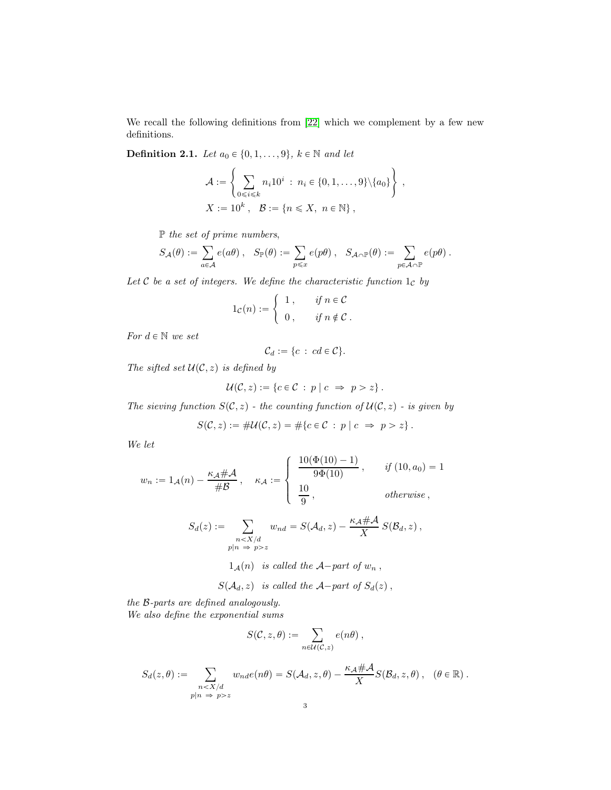We recall the following definitions from [\[22\]](#page-38-14) which we complement by a few new definitions.

<span id="page-2-0"></span>**Definition 2.1.** Let  $a_0 \in \{0, 1, \ldots, 9\}$ ,  $k \in \mathbb{N}$  and let

$$
\mathcal{A} := \left\{ \sum_{0 \le i \le k} n_i 10^i : n_i \in \{0, 1, ..., 9\} \setminus \{a_0\} \right\},
$$
  

$$
X := 10^k, \quad \mathcal{B} := \{n \le X, \ n \in \mathbb{N}\},
$$

P the set of prime numbers,

$$
S_{\mathcal{A}}(\theta) := \sum_{a \in \mathcal{A}} e(a\theta) , \quad S_{\mathbb{P}}(\theta) := \sum_{p \leq x} e(p\theta) , \quad S_{\mathcal{A} \cap \mathbb{P}}(\theta) := \sum_{p \in \mathcal{A} \cap \mathbb{P}} e(p\theta) .
$$

Let  $C$  be a set of integers. We define the characteristic function  $1_C$  by

$$
1_{\mathcal{C}}(n) := \begin{cases} 1, & \text{if } n \in \mathcal{C} \\ 0, & \text{if } n \notin \mathcal{C} \end{cases}.
$$

For  $d \in \mathbb{N}$  we set

$$
\mathcal{C}_d := \{c \;:\; cd \in \mathcal{C}\}.
$$

The sifted set  $U(\mathcal{C}, z)$  is defined by

$$
\mathcal{U}(\mathcal{C}, z) := \{c \in \mathcal{C} : p \mid c \implies p > z\}.
$$

The sieving function  $S(\mathcal{C}, z)$  - the counting function of  $\mathcal{U}(\mathcal{C}, z)$  - is given by

$$
S(\mathcal{C}, z) := \# \mathcal{U}(\mathcal{C}, z) = \# \{ c \in \mathcal{C} : p \mid c \Rightarrow p > z \}.
$$

We let

$$
w_n := 1_{\mathcal{A}}(n) - \frac{\kappa_{\mathcal{A}} \# \mathcal{A}}{\# \mathcal{B}}, \quad \kappa_{\mathcal{A}} := \begin{cases} \frac{10(\Phi(10) - 1)}{9\Phi(10)}, & \text{if } (10, a_0) = 1 \\ \frac{10}{9}, & \text{otherwise} \end{cases}
$$

$$
S_d(z) := \sum_{\substack{n < X/d \ p|n \implies p > z}} w_{nd} = S(\mathcal{A}_d, z) - \frac{\kappa_{\mathcal{A}} \# \mathcal{A}}{X} S(\mathcal{B}_d, z),
$$

 $1_A(n)$  is called the A-part of  $w_n$ ,

$$
S(\mathcal{A}_d, z) \ \ \text{is called the } \mathcal{A} \text{-part of } S_d(z) \ ,
$$

the B-parts are defined analogously. We also define the exponential sums

$$
S(\mathcal{C},z,\theta):=\sum_{n\in\mathcal{U}(\mathcal{C},z)}e(n\theta)\;,
$$

$$
S_d(z,\theta) := \sum_{\substack{n < X/d \\ p|n \implies p > z}} w_{nd}e(n\theta) = S(\mathcal{A}_d, z, \theta) - \frac{\kappa_{\mathcal{A}} \# \mathcal{A}}{X} S(\mathcal{B}_d, z, \theta), \quad (\theta \in \mathbb{R}).
$$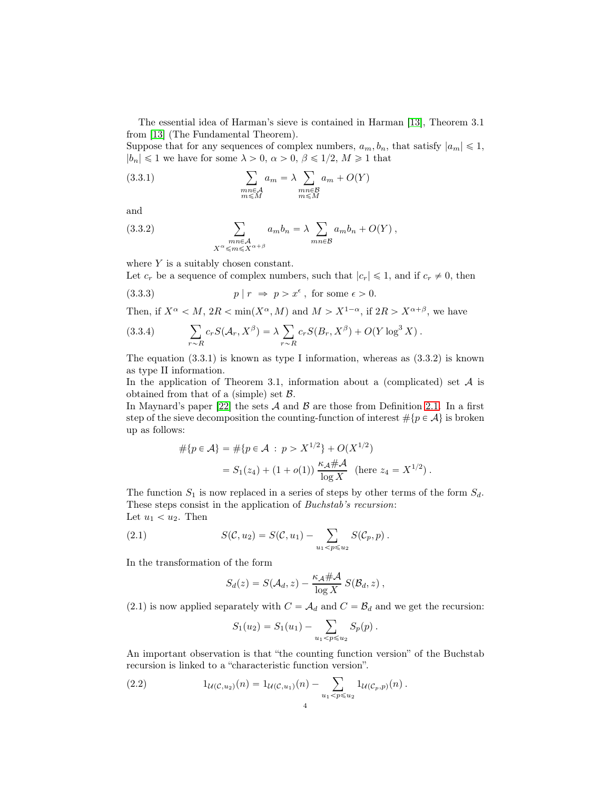The essential idea of Harman's sieve is contained in Harman [\[13\]](#page-38-15), Theorem 3.1 from [\[13\]](#page-38-15) (The Fundamental Theorem).

Suppose that for any sequences of complex numbers,  $a_m, b_n$ , that satisfy  $|a_m| \leq 1$ ,  $|b_n| \leq 1$  we have for some  $\lambda > 0$ ,  $\alpha > 0$ ,  $\beta \leq 1/2$ ,  $M \geq 1$  that

(3.3.1) 
$$
\sum_{\substack{mn \in \mathcal{A} \\ m \le M}} a_m = \lambda \sum_{\substack{mn \in \mathcal{B} \\ m \le M}} a_m + O(Y)
$$

and

(3.3.2) 
$$
\sum_{\substack{mn \in \mathcal{A} \\ X^{\alpha} \le m \le X^{\alpha + \beta}}} a_m b_n = \lambda \sum_{mn \in \mathcal{B}} a_m b_n + O(Y),
$$

where  $Y$  is a suitably chosen constant.

Let  $c_r$  be a sequence of complex numbers, such that  $|c_r| \leq 1$ , and if  $c_r \neq 0$ , then

(3.3.3) 
$$
p | r \Rightarrow p > x^{\epsilon}, \text{ for some } \epsilon > 0.
$$

Then, if  $X^{\alpha} < M$ ,  $2R < \min(X^{\alpha}, M)$  and  $M > X^{1-\alpha}$ , if  $2R > X^{\alpha+\beta}$ , we have

(3.3.4) 
$$
\sum_{r \sim R} c_r S(\mathcal{A}_r, X^{\beta}) = \lambda \sum_{r \sim R} c_r S(B_r, X^{\beta}) + O(Y \log^3 X).
$$

The equation  $(3.3.1)$  is known as type I information, whereas as  $(3.3.2)$  is known as type II information.

In the application of Theorem 3.1, information about a (complicated) set  $A$  is obtained from that of a (simple) set  $\beta$ .

In Maynard's paper [\[22\]](#page-38-14) the sets  $A$  and  $B$  are those from Definition [2.1.](#page-2-0) In a first step of the sieve decomposition the counting-function of interest  $\#\{p \in \mathcal{A}\}\$ is broken up as follows:

$$
#{p \in A} = #{p \in A : p > X^{1/2}} + O(X^{1/2})
$$
  
= S<sub>1</sub>(z<sub>4</sub>) + (1 + o(1))  $\frac{\kappa_A # A}{\log X}$  (here z<sub>4</sub> = X<sup>1/2</sup>).

The function  $S_1$  is now replaced in a series of steps by other terms of the form  $S_d$ . These steps consist in the application of Buchstab's recursion: Let  $u_1 < u_2$ . Then

(2.1) 
$$
S(C, u_2) = S(C, u_1) - \sum_{u_1 < p \leq u_2} S(C_p, p) .
$$

In the transformation of the form

$$
S_d(z) = S(\mathcal{A}_d, z) - \frac{\kappa_{\mathcal{A}} \# \mathcal{A}}{\log X} S(\mathcal{B}_d, z) ,
$$

(2.1) is now applied separately with  $C = \mathcal{A}_d$  and  $C = \mathcal{B}_d$  and we get the recursion:

$$
S_1(u_2) = S_1(u_1) - \sum_{u_1 < p \leqslant u_2} S_p(p) \, .
$$

An important observation is that "the counting function version" of the Buchstab recursion is linked to a "characteristic function version".

(2.2) 
$$
1_{\mathcal{U}(\mathcal{C},u_2)}(n) = 1_{\mathcal{U}(\mathcal{C},u_1)}(n) - \sum_{u_1 < p \leq u_2} 1_{\mathcal{U}(\mathcal{C}_p,p)}(n) \, .
$$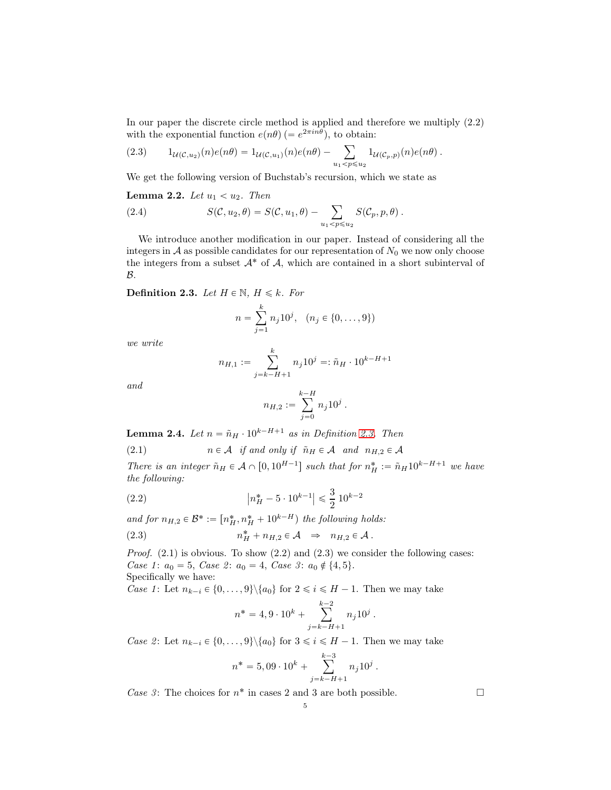In our paper the discrete circle method is applied and therefore we multiply (2.2) with the exponential function  $e(n\theta)$  (=  $e^{2\pi i n\theta}$ ), to obtain:

(2.3) 
$$
1_{\mathcal{U}(\mathcal{C},u_2)}(n)e(n\theta) = 1_{\mathcal{U}(\mathcal{C},u_1)}(n)e(n\theta) - \sum_{u_1 < p \leq u_2} 1_{\mathcal{U}(\mathcal{C}_p,p)}(n)e(n\theta) .
$$

We get the following version of Buchstab's recursion, which we state as

<span id="page-4-2"></span>**Lemma 2.2.** Let  $u_1 < u_2$ . Then

(2.4) 
$$
S(C, u_2, \theta) = S(C, u_1, \theta) - \sum_{u_1 < p \leq u_2} S(C_p, p, \theta).
$$

We introduce another modification in our paper. Instead of considering all the integers in  $A$  as possible candidates for our representation of  $N_0$  we now only choose the integers from a subset  $A^*$  of  $A$ , which are contained in a short subinterval of  $\mathcal{B}.$ 

<span id="page-4-0"></span>**Definition 2.3.** Let  $H \in \mathbb{N}$ ,  $H \leq k$ . For

$$
n = \sum_{j=1}^{k} n_j 10^j, \quad (n_j \in \{0, \dots, 9\})
$$

we write

$$
n_{H,1} := \sum_{j=k-H+1}^{k} n_j 10^j =: \tilde{n}_H \cdot 10^{k-H+1}
$$

and

$$
n_{H,2} := \sum_{j=0}^{k-H} n_j 10^j.
$$

<span id="page-4-1"></span>**Lemma 2.4.** Let  $n = \tilde{n}_H \cdot 10^{k-H+1}$  as in Definition [2.3.](#page-4-0) Then

(2.1) 
$$
n \in \mathcal{A}
$$
 if and only if  $\tilde{n}_H \in \mathcal{A}$  and  $n_{H,2} \in \mathcal{A}$ 

There is an integer  $\tilde{n}_H \in \mathcal{A} \cap [0, 10^{H-1}]$  such that for  $n_H^* := \tilde{n}_H 10^{k-H+1}$  we have the following:

(2.2) 
$$
\left| n_H^* - 5 \cdot 10^{k-1} \right| \leq \frac{3}{2} \cdot 10^{k-2}
$$

and for  $n_{H,2} \in \mathcal{B}^* := [n_H^*, n_H^* + 10^{k-H})$  the following holds:

(2.3) 
$$
n_H^* + n_{H,2} \in \mathcal{A} \Rightarrow n_{H,2} \in \mathcal{A}.
$$

*Proof.*  $(2.1)$  is obvious. To show  $(2.2)$  and  $(2.3)$  we consider the following cases: Case 1:  $a_0 = 5$ , Case 2:  $a_0 = 4$ , Case 3:  $a_0 \notin \{4, 5\}.$ Specifically we have:

Case 1: Let  $n_{k-i} \in \{0, \ldots, 9\} \setminus \{a_0\}$  for  $2 \leq i \leq H - 1$ . Then we may take

$$
n^* = 4, 9 \cdot 10^k + \sum_{j=k-H+1}^{k-2} n_j 10^j.
$$

Case 2: Let  $n_{k-i} \in \{0, \ldots, 9\} \setminus \{a_0\}$  for  $3 \leq i \leq H - 1$ . Then we may take

$$
n^* = 5,09 \cdot 10^k + \sum_{j=k-H+1}^{k-3} n_j 10^j.
$$

*Case 3*: The choices for  $n^*$  in cases 2 and 3 are both possible.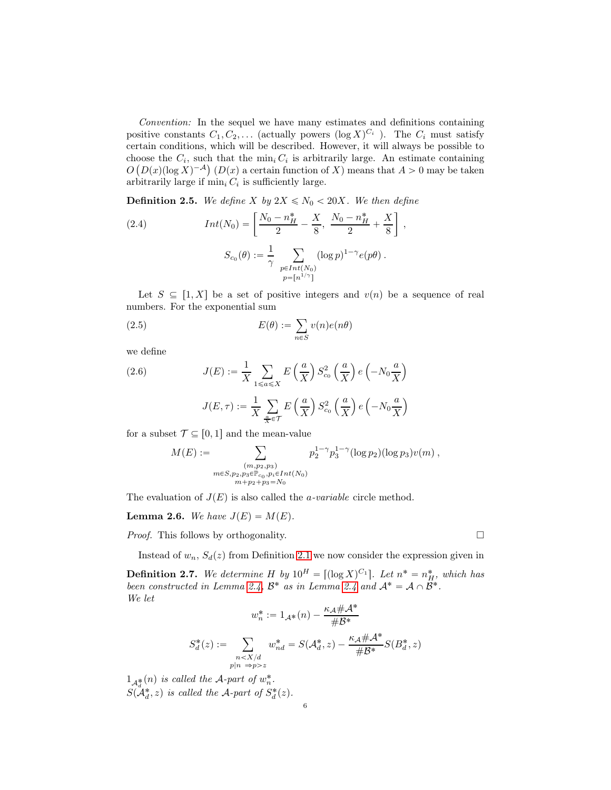Convention: In the sequel we have many estimates and definitions containing positive constants  $C_1, C_2, \ldots$  (actually powers  $(\log X)^{C_i}$ ). The  $C_i$  must satisfy certain conditions, which will be described. However, it will always be possible to choose the  $C_i$ , such that the  $\min_i C_i$  is arbitrarily large. An estimate containing  $O(D(x)(\log X)^{-A})$   $(D(x))$  a certain function of X) means that  $A > 0$  may be taken arbitrarily large if  $\min_i C_i$  is sufficiently large.

,

**Definition 2.5.** We define X by  $2X \le N_0 < 20X$ . We then define

(2.4) 
$$
Int(N_0) = \left[\frac{N_0 - n_H^*}{2} - \frac{X}{8}, \frac{N_0 - n_H^*}{2} + \frac{X}{8}\right]
$$

$$
S_{c_0}(\theta) := \frac{1}{\gamma} \sum_{\substack{p \in Int(N_0) \\ p = \lfloor n^{1/\gamma} \rfloor}} (\log p)^{1 - \gamma} e(p\theta).
$$

Let  $S \subseteq [1, X]$  be a set of positive integers and  $v(n)$  be a sequence of real numbers. For the exponential sum

(2.5) 
$$
E(\theta) := \sum_{n \in S} v(n)e(n\theta)
$$

we define

(2.6) 
$$
J(E) := \frac{1}{X} \sum_{1 \le a \le X} E\left(\frac{a}{X}\right) S_{c_0}^2 \left(\frac{a}{X}\right) e\left(-N_0 \frac{a}{X}\right)
$$

$$
J(E, \tau) := \frac{1}{X} \sum_{\frac{a}{X} \in \mathcal{T}} E\left(\frac{a}{X}\right) S_{c_0}^2 \left(\frac{a}{X}\right) e\left(-N_0 \frac{a}{X}\right)
$$

for a subset  $\mathcal{T} \subseteq [0, 1]$  and the mean-value

$$
M(E) := \sum_{\substack{(m,p_2,p_3) \\ m \in S, p_2, p_3 \in \mathbb{P}_{c_0}, p_i \in Int(N_0) \\ m + p_2 + p_3 = N_0}} p_2^{1-\gamma} p_3^{1-\gamma} (\log p_2)(\log p_3) v(m) ,
$$

The evaluation of  $J(E)$  is also called the *a-variable* circle method.

<span id="page-5-1"></span>**Lemma 2.6.** We have  $J(E) = M(E)$ .

*Proof.* This follows by orthogonality.  $\square$ 

Instead of  $w_n$ ,  $S_d(z)$  from Definition [2](#page-2-0).1 we now consider the expression given in

<span id="page-5-0"></span>**Definition 2.7.** We determine H by  $10^H = [(\log X)^{C_1}]$ . Let  $n^* = n_H^*$ , which has been constructed in Lemma [2.4,](#page-4-1)  $\mathcal{B}^*$  as in Lemma [2.4](#page-4-1) and  $\mathcal{A}^* = \mathcal{A} \cap \mathcal{B}^*$ . We let

$$
w_n^* := 1_{\mathcal{A}^*}(n) - \frac{\kappa_{\mathcal{A}} \# \mathcal{A}^*}{\# \mathcal{B}^*}
$$

$$
S_d^*(z) := \sum_{\substack{n < X/d \\ p|n \Rightarrow p > z}} w_{nd}^* = S(\mathcal{A}_d^*, z) - \frac{\kappa_{\mathcal{A}} \# \mathcal{A}^*}{\# \mathcal{B}^*} S(B_d^*, z)
$$

 $1_{\mathcal{A}_{\sigma}^{*}}(n)$  is called the A-part of  $w_{n}^{*}$ .  $S(\mathcal{A}_d^*, z)$  is called the A-part of  $S_d^*(z)$ .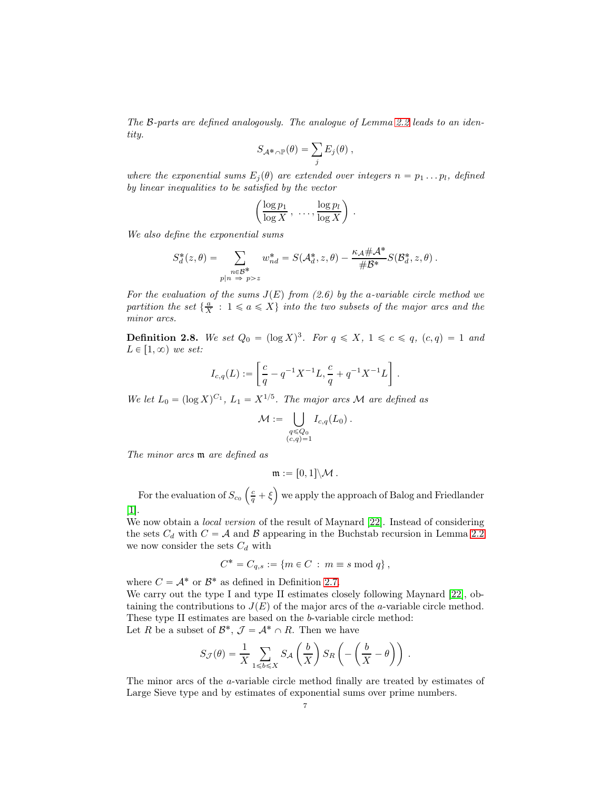The B-parts are defined analogously. The analogue of Lemma [2.2](#page-4-2) leads to an identity.

$$
S_{\mathcal{A}^*\cap\mathbb{P}}(\theta)=\sum_j E_j(\theta)\;,
$$

where the exponential sums  $E_j(\theta)$  are extended over integers  $n = p_1 \dots p_l$ , defined by linear inequalities to be satisfied by the vector

$$
\left(\frac{\log p_1}{\log X}, \ldots, \frac{\log p_l}{\log X}\right)
$$

.

We also define the exponential sums

$$
S_d^*(z, \theta) = \sum_{\substack{n \in \mathcal{B}^* \\ p|n \Rightarrow p > z}} w_{nd}^* = S(\mathcal{A}_d^*, z, \theta) - \frac{\kappa_A \# \mathcal{A}^*}{\# \mathcal{B}^*} S(\mathcal{B}_d^*, z, \theta) .
$$

For the evaluation of the sums  $J(E)$  from (2.6) by the a-variable circle method we partition the set  $\{\frac{a}{X} : 1 \leq a \leq X\}$  into the two subsets of the major arcs and the minor arcs.

**Definition 2.8.** We set  $Q_0 = (\log X)^3$ . For  $q \leq X$ ,  $1 \leq c \leq q$ ,  $(c,q) = 1$  and  $L \in [1, \infty)$  we set:

$$
I_{c,q}(L) := \left[ \frac{c}{q} - q^{-1} X^{-1} L, \frac{c}{q} + q^{-1} X^{-1} L \right] \, .
$$

We let  $L_0 = (\log X)^{C_1}$ ,  $L_1 = X^{1/5}$ . The major arcs M are defined as

$$
\mathcal{M} := \bigcup_{\substack{q \leq Q_0 \\ (c,q)=1}} I_{c,q}(L_0) .
$$

The minor arcs  $m$  are defined as

$$
\mathfrak{m} := [0,1] \backslash \mathcal{M} \,.
$$

For the evaluation of  $S_{c_0}\left(\frac{c}{q}+\xi\right)$  we apply the approach of Balog and Friedlander [\[1\]](#page-37-1).

We now obtain a local version of the result of Maynard [\[22\]](#page-38-14). Instead of considering the sets  $C_d$  with  $C = A$  and  $B$  appearing in the Buchstab recursion in Lemma [2.2](#page-4-2) we now consider the sets  $C_d$  with

$$
C^* = C_{q,s} := \{ m \in C : m \equiv s \bmod q \},
$$

where  $C = \mathcal{A}^*$  or  $\mathcal{B}^*$  as defined in Definition [2.7.](#page-5-0)

We carry out the type I and type II estimates closely following Maynard [\[22\]](#page-38-14), obtaining the contributions to  $J(E)$  of the major arcs of the a-variable circle method. These type II estimates are based on the b-variable circle method:

Let *R* be a subset of 
$$
\mathcal{B}^*, \mathcal{J} = \mathcal{A}^* \cap R
$$
. Then we have

$$
S_{\mathcal{J}}(\theta) = \frac{1}{X} \sum_{1 \le b \le X} S_{\mathcal{A}}\left(\frac{b}{X}\right) S_R\left(-\left(\frac{b}{X} - \theta\right)\right) .
$$

The minor arcs of the a-variable circle method finally are treated by estimates of Large Sieve type and by estimates of exponential sums over prime numbers.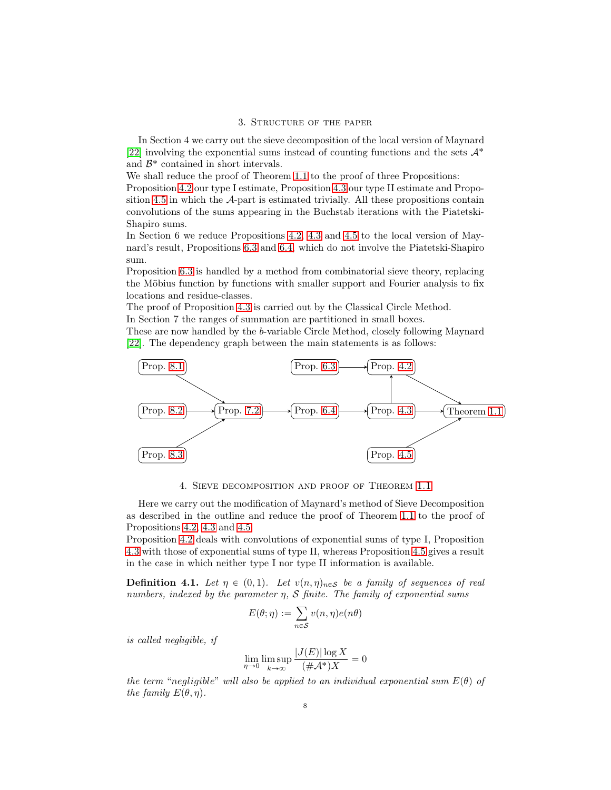#### 3. Structure of the paper

In Section 4 we carry out the sieve decomposition of the local version of Maynard [\[22\]](#page-38-14) involving the exponential sums instead of counting functions and the sets  $\mathcal{A}^*$ and  $\mathcal{B}^*$  contained in short intervals.

We shall reduce the proof of Theorem [1.1](#page-1-0) to the proof of three Propositions:

Proposition [4.2](#page-8-0) our type I estimate, Proposition [4.3](#page-8-1) our type II estimate and Proposition [4.5](#page-9-0) in which the A-part is estimated trivially. All these propositions contain convolutions of the sums appearing in the Buchstab iterations with the Piatetski-Shapiro sums.

In Section 6 we reduce Propositions [4.2,](#page-8-0) [4.3](#page-8-1) and [4.5](#page-9-0) to the local version of Maynard's result, Propositions [6.3](#page-20-0) and [6.4,](#page-20-1) which do not involve the Piatetski-Shapiro sum.

Proposition [6.3](#page-20-0) is handled by a method from combinatorial sieve theory, replacing the Möbius function by functions with smaller support and Fourier analysis to fix locations and residue-classes.

The proof of Proposition [4.3](#page-8-1) is carried out by the Classical Circle Method.

In Section 7 the ranges of summation are partitioned in small boxes.

These are now handled by the b-variable Circle Method, closely following Maynard [\[22\]](#page-38-14). The dependency graph between the main statements is as follows:



4. Sieve decomposition and proof of Theorem [1.1](#page-1-0)

Here we carry out the modification of Maynard's method of Sieve Decomposition as described in the outline and reduce the proof of Theorem [1.1](#page-1-0) to the proof of Propositions [4.2,](#page-8-0) [4.3](#page-8-1) and [4.5.](#page-9-0)

Proposition [4.2](#page-8-0) deals with convolutions of exponential sums of type I, Proposition [4.3](#page-8-1) with those of exponential sums of type II, whereas Proposition [4.5](#page-9-0) gives a result in the case in which neither type I nor type II information is available.

**Definition 4.1.** Let  $\eta \in (0, 1)$ . Let  $v(n, \eta)_{n \in \mathcal{S}}$  be a family of sequences of real numbers, indexed by the parameter  $\eta$ ,  $S$  finite. The family of exponential sums

$$
E(\theta; \eta) := \sum_{n \in \mathcal{S}} v(n, \eta) e(n\theta)
$$

is called negligible, if

$$
\lim_{\eta \to 0} \limsup_{k \to \infty} \frac{|J(E)| \log X}{(\#\mathcal{A}^*)X} = 0
$$

the term "negligible" will also be applied to an individual exponential sum  $E(\theta)$  of the family  $E(\theta, \eta)$ .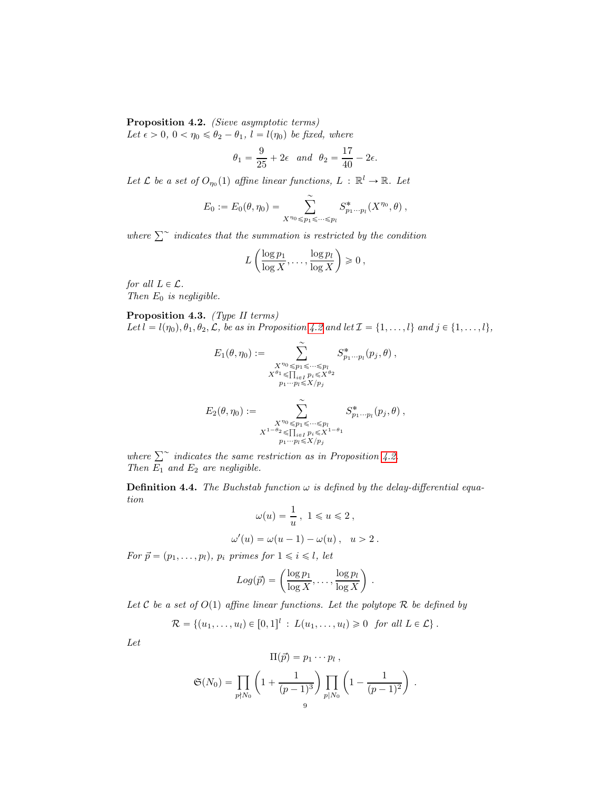<span id="page-8-0"></span>Proposition 4.2. (Sieve asymptotic terms) Let  $\epsilon > 0$ ,  $0 < \eta_0 \le \theta_2 - \theta_1$ ,  $l = l(\eta_0)$  be fixed, where

$$
\theta_1 = \frac{9}{25} + 2\epsilon \text{ and } \theta_2 = \frac{17}{40} - 2\epsilon.
$$

Let L be a set of  $O_{\eta_0}(1)$  affine linear functions,  $L : \mathbb{R}^l \to \mathbb{R}$ . Let

$$
E_0 := E_0(\theta, \eta_0) = \sum_{X^{\eta_0} \leq p_1 \leq \dots \leq p_l} S^*_{p_1 \dots p_l}(X^{\eta_0}, \theta) ,
$$

where  $\sum^{\infty}$  indicates that the summation is restricted by the condition

$$
L\left(\frac{\log p_1}{\log X},\ldots,\frac{\log p_l}{\log X}\right) \geq 0,
$$

for all  $L \in \mathcal{L}$ . Then  $E_0$  is negligible.

<span id="page-8-1"></span>Proposition 4.3. (Type II terms) Let  $l = l(\eta_0), \theta_1, \theta_2, \mathcal{L}$ , be as in Proposition [4.2](#page-8-0) and let  $\mathcal{I} = \{1, \ldots, l\}$  and  $j \in \{1, \ldots, l\}$ ,

$$
E_1(\theta, \eta_0) := \sum_{\substack{X^{\eta_0} \leq p_1 \leq \dots \leq p_l \\ X^{\theta_1} \leq \prod_{i \in I} p_i \leq X^{\theta_2} \\ p_1 \cdots p_l \leq X/p_j}} S^*_{p_1 \cdots p_l} (p_j, \theta),
$$
  

$$
E_2(\theta, \eta_0) := \sum_{\substack{X^{\eta_0} \leq p_1 \leq \dots \leq p_l \\ X^{1-\theta_2} \leq \prod_{i \in I} p_i \leq X^{1-\theta_1} \\ p_1 \cdots p_l \leq X/p_j}} S^*_{p_1 \cdots p_l} (p_j, \theta),
$$

where  $\sum^{\sim}$  indicates the same restriction as in Proposition [4.2.](#page-8-0) Then  $E_1$  and  $E_2$  are negligible.

**Definition 4.4.** The Buchstab function  $\omega$  is defined by the delay-differential equation

$$
\omega(u) = \frac{1}{u}, \ 1 \le u \le 2,
$$
  

$$
\omega'(u) = \omega(u-1) - \omega(u), \ u > 2.
$$

For  $\vec{p} = (p_1, \ldots, p_l)$ ,  $p_i$  primes for  $1 \leq i \leq l$ , let

$$
Log(\vec{p}) = \left(\frac{\log p_1}{\log X}, \dots, \frac{\log p_l}{\log X}\right).
$$

Let C be a set of  $O(1)$  affine linear functions. Let the polytope R be defined by

 $\mathcal{R} = \{(u_1, \ldots, u_l) \in [0, 1]^l : L(u_1, \ldots, u_l) \geq 0 \text{ for all } L \in \mathcal{L}\}\.$ 

Let

$$
\Pi(\vec{p}) = p_1 \cdots p_l ,
$$
  
\n
$$
\mathfrak{S}(N_0) = \prod_{p \nmid N_0} \left(1 + \frac{1}{(p-1)^3}\right) \prod_{p \mid N_0} \left(1 - \frac{1}{(p-1)^2}\right) .
$$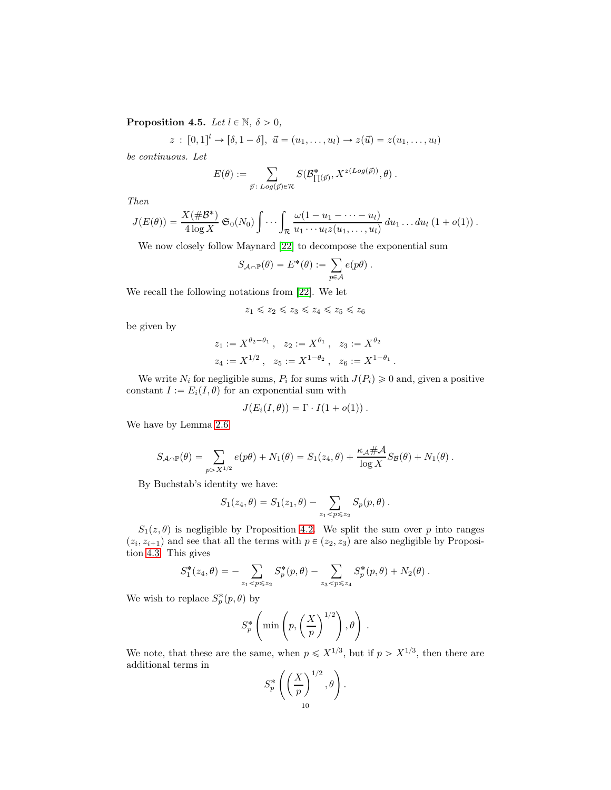<span id="page-9-0"></span>**Proposition 4.5.** Let  $l \in \mathbb{N}$ ,  $\delta > 0$ ,

$$
z: [0,1]^l \to [\delta, 1-\delta], \ \vec{u} = (u_1, \ldots, u_l) \to z(\vec{u}) = z(u_1, \ldots, u_l)
$$

be continuous. Let

$$
E(\theta) := \sum_{\vec{p} \,:\, Log(\vec{p}) \in \mathcal{R}} S(\mathcal{B}_{\prod(\vec{p})}^*, X^{z(Log(\vec{p}))}, \theta) .
$$

Then

$$
J(E(\theta)) = \frac{X(\#\mathcal{B}^*)}{4\log X} \mathfrak{S}_0(N_0) \int \cdots \int_{\mathcal{R}} \frac{\omega(1-u_1-\cdots-u_l)}{u_1\cdots u_l z(u_1,\ldots,u_l)} du_1\ldots du_l (1+o(1)).
$$

We now closely follow Maynard [\[22\]](#page-38-14) to decompose the exponential sum

$$
S_{\mathcal{A}\cap \mathbb{P}}(\theta) = E^*(\theta) := \sum_{p\in \mathcal{A}} e(p\theta).
$$

We recall the following notations from [\[22\]](#page-38-14). We let

 $z_1 \leq z_2 \leq z_3 \leq z_4 \leq z_5 \leq z_6$ 

be given by

$$
z_1 := X^{\theta_2 - \theta_1}, \quad z_2 := X^{\theta_1}, \quad z_3 := X^{\theta_2}
$$
  

$$
z_4 := X^{1/2}, \quad z_5 := X^{1 - \theta_2}, \quad z_6 := X^{1 - \theta_1}.
$$

We write  $N_i$  for negligible sums,  $P_i$  for sums with  $J(P_i) \geq 0$  and, given a positive constant  $I := E_i(I, \theta)$  for an exponential sum with

$$
J(E_i(I, \theta)) = \Gamma \cdot I(1 + o(1)).
$$

We have by Lemma [2.6](#page-5-1)

$$
S_{\mathcal{A}\cap \mathbb{P}}(\theta) = \sum_{p>X^{1/2}} e(p\theta) + N_1(\theta) = S_1(z_4, \theta) + \frac{\kappa_{\mathcal{A}}\#\mathcal{A}}{\log X} S_{\mathcal{B}}(\theta) + N_1(\theta) .
$$

By Buchstab's identity we have:

$$
S_1(z_4, \theta) = S_1(z_1, \theta) - \sum_{z_1 < p \leq z_2} S_p(p, \theta).
$$

 $S_1(z, \theta)$  is negligible by Proposition [4.2.](#page-8-0) We split the sum over p into ranges  $(z_i, z_{i+1})$  and see that all the terms with  $p \in (z_2, z_3)$  are also negligible by Proposition [4.3.](#page-8-1) This gives

$$
S_1^*(z_4, \theta) = - \sum_{z_1 < p \leq z_2} S_p^*(p, \theta) - \sum_{z_3 < p \leq z_4} S_p^*(p, \theta) + N_2(\theta).
$$

We wish to replace  $S_p^*(p, \theta)$  by

$$
S_p^* \left( \min \left( p, \left( \frac{X}{p} \right)^{1/2} \right), \theta \right) .
$$

We note, that these are the same, when  $p \leq X^{1/3}$ , but if  $p > X^{1/3}$ , then there are additional terms in

$$
S_p^* \left( \left( \frac{X}{p} \right)^{1/2}, \theta \right).
$$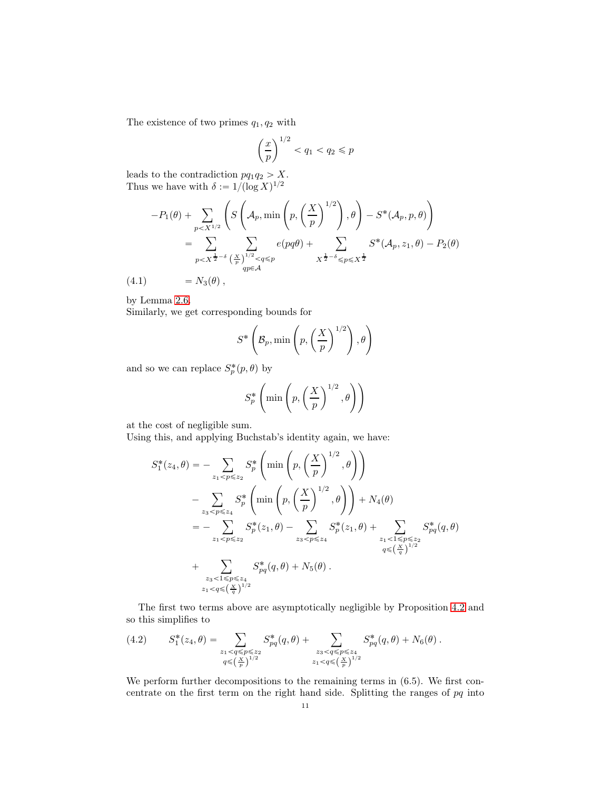The existence of two primes  $q_1, q_2$  with

$$
\left(\frac{x}{p}\right)^{1/2} < q_1 < q_2 \leqslant p
$$

leads to the contradiction  $pq_1q_2 > X$ . Thus we have with  $\delta := 1/(\log X)^{1/2}$ 

$$
-P_1(\theta) + \sum_{p < X^{1/2}} \left( S\left(\mathcal{A}_p, \min\left(p, \left(\frac{X}{p}\right)^{1/2}\right), \theta\right) - S^*(\mathcal{A}_p, p, \theta) \right)
$$
  
= 
$$
\sum_{p < X^{\frac{1}{2}-\delta}} \sum_{\substack{(\frac{X}{p})^{1/2} < q \leq p \\ qp \in \mathcal{A}}} e(pq\theta) + \sum_{X^{\frac{1}{2}-\delta} \leq p \leq X^{\frac{1}{2}}}\n S^*(\mathcal{A}_p, z_1, \theta) - P_2(\theta)
$$

$$
(4.1) \qquad \qquad = N_3(\theta) \; ,
$$

by Lemma [2.6.](#page-5-1)

Similarly, we get corresponding bounds for

$$
S^* \left( \mathcal{B}_p, \min\left(p, \left(\frac{X}{p}\right)^{1/2}\right), \theta\right)
$$

and so we can replace  $S_p^*(p, \theta)$  by

$$
S_p^* \left( \min \left( p, \left( \frac{X}{p} \right)^{1/2}, \theta \right) \right)
$$

at the cost of negligible sum.

Using this, and applying Buchstab's identity again, we have:

$$
S_1^*(z_4, \theta) = - \sum_{z_1 < p \le z_2} S_p^* \left( \min \left( p, \left( \frac{X}{p} \right)^{1/2}, \theta \right) \right)
$$
  

$$
- \sum_{z_3 < p \le z_4} S_p^* \left( \min \left( p, \left( \frac{X}{p} \right)^{1/2}, \theta \right) \right) + N_4(\theta)
$$
  

$$
= - \sum_{z_1 < p \le z_2} S_p^*(z_1, \theta) - \sum_{z_3 < p \le z_4} S_p^*(z_1, \theta) + \sum_{z_1 < 1 \le p \le z_2} S_{pq}^*(q, \theta)
$$
  

$$
+ \sum_{z_3 < 1 \le p \le z_4} S_{pq}^*(q, \theta) + N_5(\theta).
$$

The first two terms above are asymptotically negligible by Proposition [4.2](#page-8-0) and so this simplifies to

$$
(4.2) \tS_1^*(z_4, \theta) = \sum_{\substack{z_1 < q \leqslant p \leqslant z_2 \\ q \leqslant \left(\frac{X}{p}\right)^{1/2}}} S_{pq}^*(q, \theta) + \sum_{\substack{z_3 < q \leqslant p \leqslant z_4 \\ z_1 < q \leqslant \left(\frac{X}{p}\right)^{1/2}}} S_{pq}^*(q, \theta) + N_6(\theta).
$$

We perform further decompositions to the remaining terms in  $(6.5)$ . We first concentrate on the first term on the right hand side. Splitting the ranges of pq into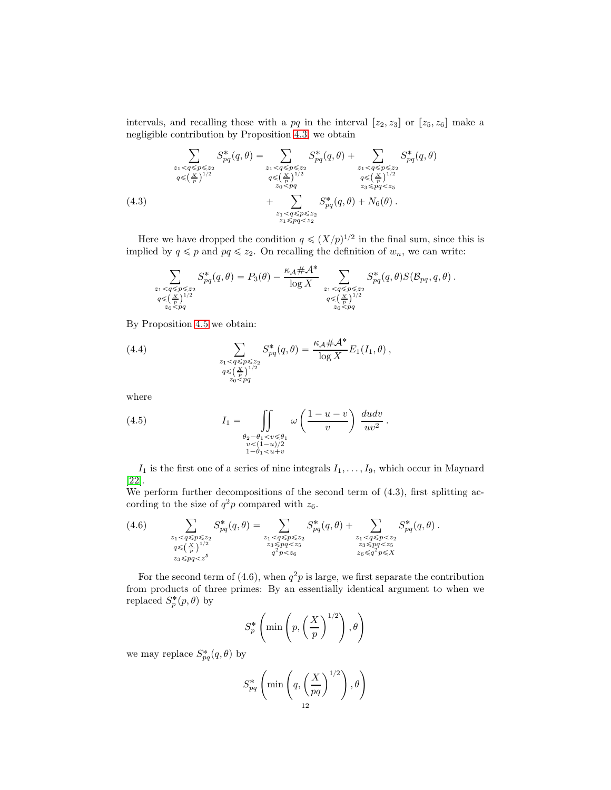intervals, and recalling those with a pq in the interval  $[z_2, z_3]$  or  $[z_5, z_6]$  make a negligible contribution by Proposition [4.3,](#page-8-1) we obtain

$$
\sum_{\substack{z_1 < q \le p \le z_2 \\ q \le \left(\frac{X}{p}\right)^{1/2} }} S_{pq}^*(q, \theta) = \sum_{\substack{z_1 < q \le p \le z_2 \\ q \le \left(\frac{X}{p}\right)^{1/2} }} S_{pq}^*(q, \theta) + \sum_{\substack{z_1 < q \le p \le z_2 \\ q \le \left(\frac{X}{p}\right)^{1/2} }} S_{pq}^*(q, \theta) + \sum_{\substack{z_1 < q \le p \le z_2 \\ z_0 < pq}} S_{pq}^*(q, \theta) + \sum_{\substack{z_3 < pq < z_5 \\ z_1 < q \le p \le z_2}} S_{pq}^*(q, \theta) + N_6(\theta).
$$
\n(4.3)

Here we have dropped the condition  $q \leq (X/p)^{1/2}$  in the final sum, since this is implied by  $q \leq p$  and  $pq \leq z_2$ . On recalling the definition of  $w_n$ , we can write:

$$
\sum_{\substack{z_1 < q \leqslant p \leqslant z_2 \\ q \leqslant \left(\frac{X}{p}\right)^{1/2} \\ z_6 < pq}} S_{pq}^*(q, \theta) = P_3(\theta) - \frac{\kappa_A \# \mathcal{A}^*}{\log X} \sum_{\substack{z_1 < q \leqslant p \leqslant z_2 \\ q \leqslant \left(\frac{X}{p}\right)^{1/2} \\ z_6 < pq}} S_{pq}^*(q, \theta) S(\mathcal{B}_{pq}, q, \theta) .
$$

By Proposition [4.5](#page-9-0) we obtain:

(4.4) 
$$
\sum_{\substack{z_1 < q \leq p \leq z_2 \\ q \leq {(\frac{X}{p})^{1/2}} \\ z_0 < pq}} S_{pq}^*(q, \theta) = \frac{\kappa_{\mathcal{A}} \# \mathcal{A}^*}{\log X} E_1(I_1, \theta) ,
$$

where

(4.5) 
$$
I_1 = \iint\limits_{\substack{\theta_2 - \theta_1 < v \leq \theta_1 \\ v < (1-u)/2 \\ 1-\theta_1 < u+v}} \omega \left(\frac{1-u-v}{v}\right) \frac{du dv}{uv^2}.
$$

 $I_1$  is the first one of a series of nine integrals  $I_1, \ldots, I_9$ , which occur in Maynard [\[22\]](#page-38-14).

We perform further decompositions of the second term of  $(4.3)$ , first splitting according to the size of  $q^2p$  compared with  $z_6$ .

$$
(4.6) \qquad \sum_{\substack{z_1 < q \leqslant p \leqslant z_2 \\ q \leqslant \left(\frac{X}{p}\right)^{1/2} \\ z_3 \leqslant pq < z^5 \\ z_3 \leqslant pq < z^5}} S_{pq}^*(q, \theta) = \sum_{\substack{z_1 < q \leqslant p \leqslant z_2 \\ z_2 \leqslant p q < z_5 \\ q^2p < z_6 \\ q^2p < z_6}} S_{pq}^*(q, \theta) + \sum_{\substack{z_1 < q \leqslant p < z_2 \\ z_3 \leqslant pq < z_5 \\ z_6 \leqslant q^2p < z_5 \\ z_6 \leqslant q^2p < z_5}} S_{pq}^*(q, \theta) .
$$

For the second term of (4.6), when  $q^2p$  is large, we first separate the contribution from products of three primes: By an essentially identical argument to when we replaced  $S_p^*(p, \theta)$  by

$$
S_p^* \left( \min \left( p, \left( \frac{X}{p} \right)^{1/2} \right), \theta \right)
$$

we may replace  $S^*_{pq}(q, \theta)$  by

$$
S_{pq}^* \left( \min \left( q, \left( \frac{X}{pq} \right)^{1/2} \right), \theta \right)
$$
  
<sub>12</sub>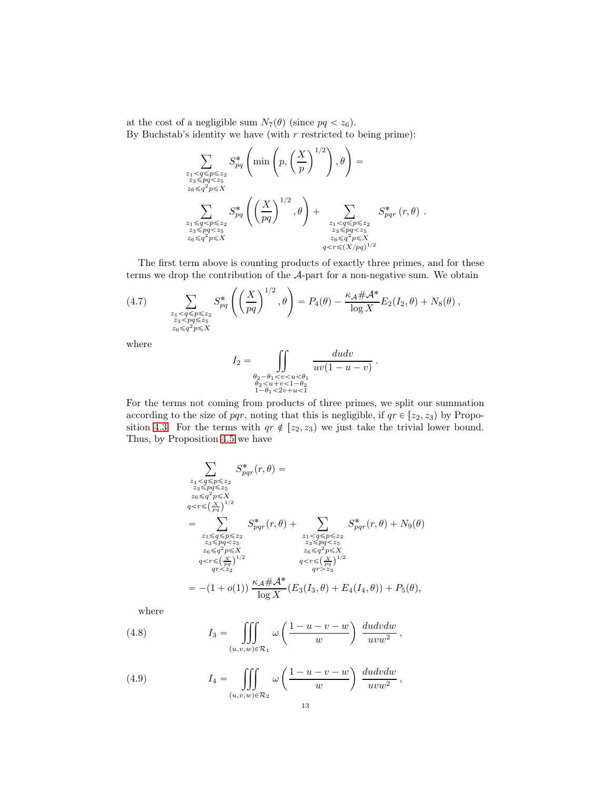at the cost of a negligible sum  $N_7(\theta)$  (since  $pq < z_6$ ). By Buchstab's identity we have (with  $r$  restricted to being prime):

$$
\sum_{\substack{z_1 < q \le p \le z_2 \\ z_3 \le pq < z_5 \\ z_6 \le q^2 p \le X}} S_{pq}^* \left( \min\left(p, \left(\frac{X}{p}\right)^{1/2}\right), \theta\right) = \sum_{\substack{z_3 \le pq < z_5 \\ z_6 \le q^2 p \le X}} S_{pq}^* \left( \left(\frac{X}{pq}\right)^{1/2}, \theta\right) + \sum_{\substack{z_1 < q \le p \le z_2 \\ z_3 \le pq < z_5 \\ z_6 \le q^2 p \le X}} S_{pq}^* (r, \theta) .
$$

The first term above is counting products of exactly three primes, and for these terms we drop the contribution of the A-part for a non-negative sum. We obtain

(4.7) 
$$
\sum_{\substack{z_1 < q \leqslant p \leqslant z_2 \\ z_3 < pq \leqslant z_5 \\ z_6 \leqslant q^2 p \leqslant X}} S_{pq}^* \left( \left( \frac{X}{pq} \right)^{1/2}, \theta \right) = P_4(\theta) - \frac{\kappa_A \# \mathcal{A}^*}{\log X} E_2(I_2, \theta) + N_8(\theta) ,
$$

where

$$
I_2 = \iint\limits_{\substack{\theta_2 - \theta_1 < v < u < \theta_1 \\ \theta_2 < u + v < 1 - \theta_2 \\ 1 - \theta_1 < 2v + u < 1}} \frac{du dv}{uv(1 - u - v)}.
$$

For the terms not coming from products of three primes, we split our summation according to the size of pqr, noting that this is negligible, if  $qr \in [z_2, z_3]$  by Propo-sition [4.3.](#page-8-1) For the terms with  $qr \notin [z_2, z_3)$  we just take the trivial lower bound. Thus, by Proposition [4.5](#page-9-0) we have

$$
\sum_{\substack{z_1 < q \leqslant p \leqslant z_2 \\ z_3 \leqslant p q \leqslant z_5 \\ z_6 \leqslant q^2 p \leqslant X \\ q < r \leqslant \left(\frac{X}{pq}\right)^{1/2} \\ = \sum_{\substack{z_1 \leqslant q \leqslant p \leqslant z_2 \\ z_3 \leqslant p q < z_5 \\ z_6 \leqslant q^2 p \leqslant X \\ z_6 \leqslant q^2 p \leqslant X \\ q < r \leqslant \left(\frac{X}{pq}\right)^{1/2} \\ q < r \leqslant \left(\frac{X}{pq}\right)^{1/2} \\ q < z_2 \leqslant \left(\frac{X}{pq}\right)^{1/2} \\ q < r \leqslant \left(\frac{X}{pq}\right)^{1/2} \\ q < r \leqslant \left(\frac{X}{pq}\right)^{1/2} \\ q < r \leqslant \left(\frac{X}{pq}\right)^{1/2} \\ q < r \leqslant \left(\frac{X}{pq}\right)^{1/2} \\ q < r \leqslant \left(\frac{X}{pq}\right)^{1/2} \\ q < z_3 \leqslant \left(\frac{X}{pq}\right)^{1/2} \\ q < r \leqslant \left(\frac{X}{pq}\right)^{1/2} \\ \log X \left(E_3(I_3, \theta) + E_4(I_4, \theta)\right) + P_5(\theta),
$$

where

(4.8) 
$$
I_3 = \iiint_{(u,v,w)\in\mathcal{R}_1} \omega\left(\frac{1-u-v-w}{w}\right) \frac{du dv dw}{uvw^2},
$$

(4.9) 
$$
I_4 = \iiint_{(u,v,w)\in\mathcal{R}_2} \omega\left(\frac{1-u-v-w}{w}\right) \frac{du dv dw}{uvw^2},
$$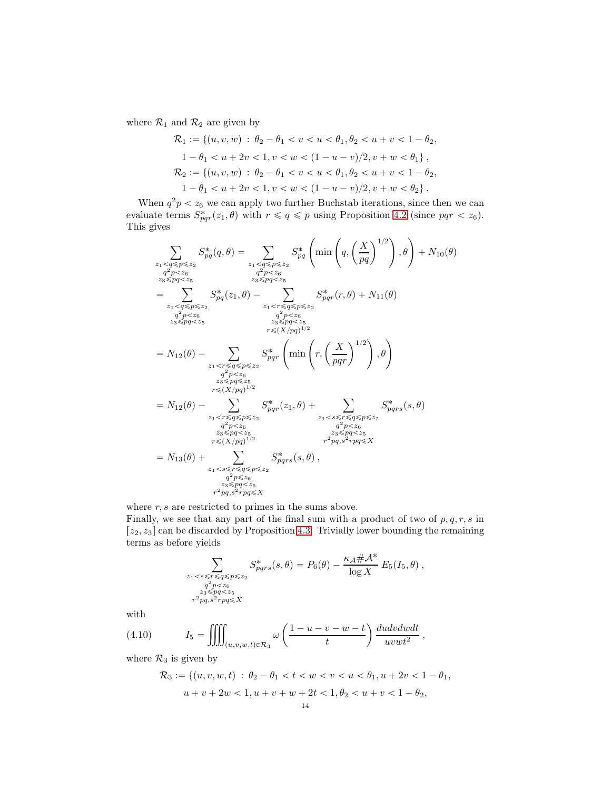where  $\mathcal{R}_1$  and  $\mathcal{R}_2$  are given by

$$
\mathcal{R}_1 := \{ (u, v, w) : \theta_2 - \theta_1 < v < u < \theta_1, \theta_2 < u + v < 1 - \theta_2, \n1 - \theta_1 < u + 2v < 1, v < w < (1 - u - v)/2, v + w < \theta_1 \}, \n\mathcal{R}_2 := \{ (u, v, w) : \theta_2 - \theta_1 < v < u < \theta_1, \theta_2 < u + v < 1 - \theta_2, \n1 - \theta_1 < u + 2v < 1, v < w < (1 - u - v)/2, v + w < \theta_2 \} .
$$

When  $q^2p < z_6$  we can apply two further Buchstab iterations, since then we can evaluate terms  $S^*_{pqr}(z_1, \theta)$  with  $r \leq q \leq p$  using Proposition [4.2](#page-8-0) (since  $pqr < z_6$ ). This gives

$$
\sum_{z_{1} < q \le p \le z_{2}} S_{pq}^{*}(q, \theta) = \sum_{z_{1} < q \le p \le z_{2}} S_{pq}^{*}\left(\min\left(q, \left(\frac{X}{pq}\right)^{1/2}\right), \theta\right) + N_{10}(\theta)
$$
\n
$$
q^{2}p < z_{6}
$$
\n
$$
q^{2}p < z_{6}
$$
\n
$$
z_{3} \le pq < z_{5}
$$
\n
$$
= \sum_{z_{1} < q \le p \le z_{2}} S_{pq}^{*}(z_{1}, \theta) - \sum_{z_{1} < r \le q \le p \le z_{2}} S_{pqr}^{*}(r, \theta) + N_{11}(\theta)
$$
\n
$$
= N_{12}(\theta) - \sum_{z_{1} < r \le q \le p \le z_{2}} S_{pqr}^{*}\left(\min\left(r, \left(\frac{X}{pq}\right)^{1/2}\right), \theta\right)
$$
\n
$$
= N_{12}(\theta) - \sum_{z_{1} < r \le q \le p \le z_{2}} S_{pqr}^{*}\left(\min\left(r, \left(\frac{X}{pqr}\right)^{1/2}\right), \theta\right)
$$
\n
$$
= N_{12}(\theta) - \sum_{z_{1} < r \le q \le p \le z_{2}} S_{pqr}^{*}\left(z_{1}, \theta\right) + \sum_{z_{1} < s \le r \le q \le p \le z_{2}} S_{pqr}^{*}(z_{1}, \theta)
$$
\n
$$
= N_{12}(\theta) - \sum_{z_{1} < r \le q \le p \le z_{2}} S_{pqr}^{*}(z_{1}, \theta) + \sum_{z_{1} < s \le r \le q \le p \le z_{2}} S_{pqr}^{*}(z_{2}, \theta) - \sum_{z_{1} < r \le q \le p \le z_{2}} S_{pqr}^{*}\left(z_{2}, \theta) - \sum_{z_{1} < r \le q \le p \le z_{2}} S_{pqr}^{*}\left(z_{2}, \theta\right), \sum_{z_{1} < s \le r \le q \le p \le z_{2}} S_{pqr}^{*}\left(z_{2}, \theta\right), \sum_{z_{1} < s \le r \le q \le p \le z_{2}} S_{pqr}^{*}\left(z_{2}, \theta\right),
$$
\n<math display="</math>

where  $r, s$  are restricted to primes in the sums above. Finally, we see that any part of the final sum with a product of two of  $p, q, r, s$  in  $[z_2, z_3]$  can be discarded by Proposition [4.3.](#page-8-1) Trivially lower bounding the remaining terms as before yields

$$
\sum_{\substack{z_1 < s \leq r \leq q \leq p \leq z_2 \\ q^2p < z_6 \\ z_3 \leq p q < z_5 \\ r^2pq, s^2rpq \leq X}} S^*_{pqrs}(s, \theta) = P_6(\theta) - \frac{\kappa_A \# \mathcal{A}^*}{\log X} E_5(I_5, \theta) ,
$$

with

(4.10) 
$$
I_5 = \iiint_{(u,v,w,t)\in\mathcal{R}_3} \omega\left(\frac{1-u-v-w-t}{t}\right) \frac{du dv dw dt}{uvwt^2},
$$

where  $\mathcal{R}_3$  is given by

$$
\mathcal{R}_3 := \{ (u, v, w, t) : \theta_2 - \theta_1 < t < w < v < u < \theta_1, u + 2v < 1 - \theta_1, u + v + 2w < 1, u + v + w + 2t < 1, \theta_2 < u + v < 1 - \theta_2, u + v < 1 - \theta_2, u + v < 1 - \theta_3, u + v < 1, u + v + w + 2v < 1, \theta_2 < u + v < 1 - \theta_2, u + v < 1 - \theta_3, u + v < 1, u + v + w + 2v < 1, \theta_2 < u + v < 1 - \theta_2, u + v < 1 - \theta_3, u + v < 1, u + v + w + 2v < 1, \theta_3 < u + v < 1 - \theta_3, u + v < 1, u + v + w + 2v < 1, \theta_4 < u + v < 1 - \theta_4, u + v < 1 - \theta_5, u + v < 1 - \theta_5, u + v < 1 - \theta_5, u + v < 1 - \theta_6, u + v < 1 - \theta_7, u + v < 1 - \theta_7, u + v < 1 - \theta_7, u + v < 1 - \theta_8, u + v < 1 - \theta_9, u + v < 1 - \theta_8, u + v < 1 - \theta_9, u + v < 1 - \theta_9, u + v < 1 - \theta_9, u + v < 1 - \theta_9, u + v < 1 - \theta_9, u + v < 1 - \theta_9, u + v < 1 - \theta_9, u + v < 1 - \theta_9, u + v < 1 - \theta_9, u + v < 1 - \theta_9, u + v < 1 - \theta_9, u + v < 1 - \theta_9, u + v < 1 - \theta_9, u + v < 1 - \theta_9, u + v < 1 - \theta_9, u + v < 1 - \theta_9, u + v < 1 - \theta_9, u + v < 1 - \theta_9, u + v < 1 - \theta_9,
$$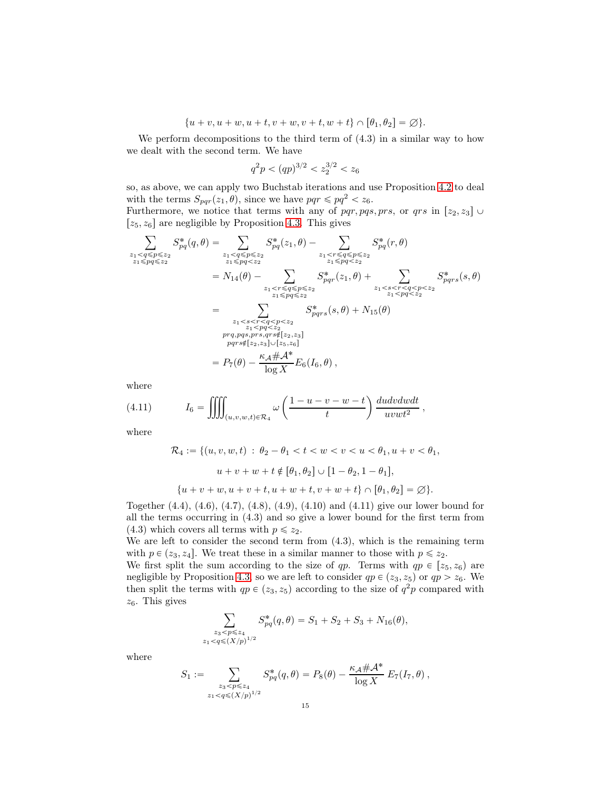$\{u + v, u + w, u + t, v + w, v + t, w + t\} \cap [\theta_1, \theta_2] = \varnothing\}.$ 

We perform decompositions to the third term of  $(4.3)$  in a similar way to how we dealt with the second term. We have

$$
q^2p < (qp)^{3/2} < z_2^{3/2} < z_6
$$

so, as above, we can apply two Buchstab iterations and use Proposition [4.2](#page-8-0) to deal with the terms  $S_{pqr}(z_1, \theta)$ , since we have  $pqr \leqslant pq^2 < z_6$ .

Furthermore, we notice that terms with any of pqr, pqs, prs, or qrs in  $[z_2, z_3]$  $[z_5, z_6]$  are negligible by Proposition [4.3.](#page-8-1) This gives

$$
\sum_{\substack{z_1 < q \le p \le z_2 \\ z_1 \le p \le z_2}} S_{pq}^*(q, \theta) = \sum_{\substack{z_1 < q \le p \le z_2 \\ z_1 \le p \le z_2}} S_{pq}^*(z_1, \theta) - \sum_{\substack{z_1 < r \le q \le p \le z_2 \\ z_1 \le p \le z_2}} S_{pq}^*(r, \theta)
$$
\n
$$
= N_{14}(\theta) - \sum_{\substack{z_1 < r \le q \le p \le z_2 \\ z_1 \le p \le z_2}} S_{pq}^*(z_1, \theta) + \sum_{\substack{z_1 < s < r < q < p < z_2 \\ z_1 \le p \le z_2}} S_{pq}^*(z_1, \theta) + \sum_{\substack{z_1 < s < r < q < p < z_2 \\ z_1 \le p \le z_2}} S_{pqrs}^*(s, \theta) + N_{15}(\theta)
$$
\n
$$
= \sum_{\substack{z_1 < s < r < q < p < z_2 \\ z_1 \le p \le z_2}} S_{pqrs}^*(s, \theta) + N_{15}(\theta)
$$
\n
$$
= \sum_{\substack{z_1 < p \le z_2 \\ p \le p \le z_2 \\ p \le p \le z_2}} S_{pqrs}^*(s, \theta) + N_{15}(\theta)
$$
\n
$$
= P_7(\theta) - \frac{\kappa_A \# A^*}{\log X} E_6(I_6, \theta),
$$

where

(4.11) 
$$
I_6 = \iiint_{(u,v,w,t)\in\mathcal{R}_4} \omega\left(\frac{1-u-v-w-t}{t}\right) \frac{du dv dw dt}{uvwt^2},
$$

where

$$
\mathcal{R}_4 := \{ (u, v, w, t) : \theta_2 - \theta_1 < t < w < v < u < \theta_1, u + v < \theta_1, u + v < \theta_2, u + v + w + t \notin [\theta_1, \theta_2] \cup [1 - \theta_2, 1 - \theta_1], u + v + w, u + v + t, u + w + t, v + w + t \} \cap [\theta_1, \theta_2] = \varnothing \}.
$$

Together (4.4), (4.6), (4.7), (4.8), (4.9), (4.10) and (4.11) give our lower bound for all the terms occurring in (4.3) and so give a lower bound for the first term from (4.3) which covers all terms with  $p \leq z_2$ .

We are left to consider the second term from (4.3), which is the remaining term with  $p \in (z_3, z_4]$ . We treat these in a similar manner to those with  $p \leq z_2$ .

We first split the sum according to the size of qp. Terms with  $qp \in [z_5, z_6]$  are negligible by Proposition [4.3,](#page-8-1) so we are left to consider  $qp \in (z_3, z_5)$  or  $qp > z_6$ . We then split the terms with  $qp \in (z_3, z_5)$  according to the size of  $q^2p$  compared with  $z_6$ . This gives

$$
\sum_{\substack{z_3 < p \leqslant z_4 \\ z_1 < q \leqslant (X/p)^{1/2}}} S_{pq}^*(q, \theta) = S_1 + S_2 + S_3 + N_{16}(\theta),
$$

where

$$
S_1 := \sum_{\substack{z_3 < p \leq z_4 \\ z_1 < q \leq (X/p)^{1/2}}} S_{pq}^*(q, \theta) = P_8(\theta) - \frac{\kappa_{\mathcal{A}} \# \mathcal{A}^*}{\log X} E_7(I_7, \theta) \,,
$$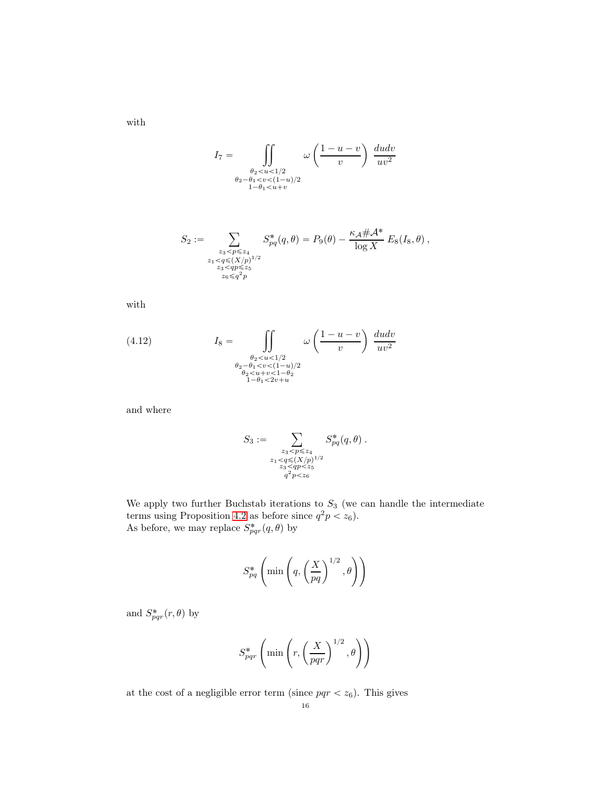$$
I_7=\int\limits_{\substack{\theta_2
$$

$$
S_2 := \sum_{\substack{z_3 < p \leq z_4 \\ z_1 < q \leq (X/p)^{1/2} \\ z_3 < qp \leq z_5 \\ z_6 \leq q^2 p}} S_{pq}^*(q, \theta) = P_9(\theta) - \frac{\kappa_A \# \mathcal{A}^*}{\log X} E_8(I_8, \theta) ,
$$

with

with

(4.12) 
$$
I_8 = \iint\limits_{\substack{\theta_2 < u < 1/2 \\ \theta_2 - \theta_1 < v < (1-u)/2 \\ \theta_2 < u + v < 1 - \theta_2 \\ 1 - \theta_1 < 2v + u} \omega \left( \frac{1 - u - v}{v} \right) \frac{du dv}{uv^2}
$$

and where

$$
S_3 := \sum_{\substack{z_3 < p \leq z_4 \\ z_1 < q \leq (X/p)^{1/2} \\ z_3 < qp < z_5 \\ q^2 p < z_6}} S_{pq}^*(q, \theta) .
$$

We apply two further Buchstab iterations to  $S_3$  (we can handle the intermediate terms using Proposition [4.2](#page-8-0) as before since  $q^2p < z_6$ ). As before, we may replace  $S^*_{pqr}(q, \theta)$  by

$$
S_{pq}^* \left( \min \left( q, \left( \frac{X}{pq} \right)^{1/2}, \theta \right) \right)
$$

and  $S^*_{pqr}(r, \theta)$  by

$$
S_{pqr}^* \left( \min \left( r, \left( \frac{X}{pqr} \right)^{1/2}, \theta \right) \right)
$$

at the cost of a negligible error term (since  $pqr < z_6$ ). This gives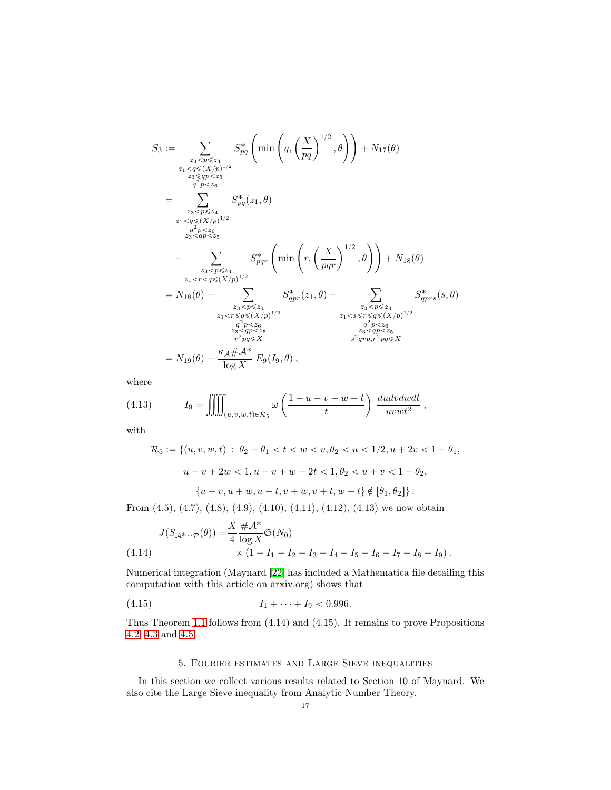$$
S_{3} := \sum_{\substack{z_{3} < p \leq z_{4} \\ z_{1} < q \leq (X/p)^{1/2} \\ z_{3} \leq qp < z_{5}}} S_{pq}^{*}\left(\min\left(q, \left(\frac{X}{pq}\right)^{1/2}, \theta\right)\right) + N_{17}(\theta)
$$
\n
$$
= \sum_{\substack{z_{3} < p \leq z_{4} \\ q^{2}p < z_{6} \\ z_{3} < qp < z_{5}}} S_{pq}^{*}(z_{1}, \theta)
$$
\n
$$
= \sum_{\substack{z_{3} < p \leq z_{4} \\ z_{3} < pp < z_{5}}} S_{pq}^{*}\left(\min\left(r, \left(\frac{X}{pqr}\right)^{1/2}, \theta\right)\right) + N_{18}(\theta)
$$
\n
$$
= \sum_{\substack{z_{3} < p \leq z_{4} \\ z_{1} < r < q \leq (X/p)^{1/2}}} S_{pqr}^{*}\left(z_{1}, \theta\right) + \sum_{\substack{z_{3} < p \leq z_{4} \\ z_{1} < r < q \leq (X/p)^{1/2} \\ q^{2}p < z_{6}}} S_{qpr}^{*}(z_{1}, \theta) + \sum_{\substack{z_{3} < p \leq z_{4} \\ z_{1} < r < q \leq (X/p)^{1/2} \\ z_{3} < qp < z_{5}}} \frac{S_{qpr}^{*}(z_{1}, \theta)}{q^{2}p < z_{6}} S_{qpr}^{*}(z, \theta)}{q^{2}p < z_{6}}
$$
\n
$$
= N_{19}(\theta) - \frac{\kappa_{A} \# A^{*}}{\log X} E_{9}(I_{9}, \theta),
$$

where

(4.13) 
$$
I_9 = \iiint_{(u,v,w,t)\in\mathcal{R}_5} \omega\left(\frac{1-u-v-w-t}{t}\right) \frac{du dv dw dt}{uvwt^2}
$$

with

$$
\mathcal{R}_5 := \{ (u, v, w, t) : \theta_2 - \theta_1 < t < w < v, \theta_2 < u < 1/2, u + 2v < 1 - \theta_1, \}
$$
\n
$$
u + v + 2w < 1, u + v + w + 2t < 1, \theta_2 < u + v < 1 - \theta_2, \}
$$
\n
$$
\{ u + v, u + w, u + t, v + w, v + t, w + t \} \notin [\theta_1, \theta_2] \}.
$$

,

$$
\left\{\alpha + \alpha, \alpha + \alpha, \alpha + \alpha, \alpha + \alpha, \alpha + \alpha, \alpha + \alpha, \varphi + \varphi_1, \varphi_2\right\}\right\}.
$$

From  $(4.5)$ ,  $(4.7)$ ,  $(4.8)$ ,  $(4.9)$ ,  $(4.10)$ ,  $(4.11)$ ,  $(4.12)$ ,  $(4.13)$  we now obtain

(4.14) 
$$
J(S_{\mathcal{A}^*\cap\mathcal{P}}(\theta)) = \frac{X}{4} \frac{\#\mathcal{A}^*}{\log X} \mathfrak{S}(N_0) \times (1 - I_1 - I_2 - I_3 - I_4 - I_5 - I_6 - I_7 - I_8 - I_9).
$$

Numerical integration (Maynard [\[22\]](#page-38-14) has included a Mathematica file detailing this computation with this article on arxiv.org) shows that

$$
(4.15) \t I_1 + \cdots + I_9 < 0.996.
$$

Thus Theorem [1.1](#page-1-0) follows from (4.14) and (4.15). It remains to prove Propositions [4.2,](#page-8-0) [4.3](#page-8-1) and [4.5.](#page-9-0)

## 5. Fourier estimates and Large Sieve inequalities

In this section we collect various results related to Section 10 of Maynard. We also cite the Large Sieve inequality from Analytic Number Theory.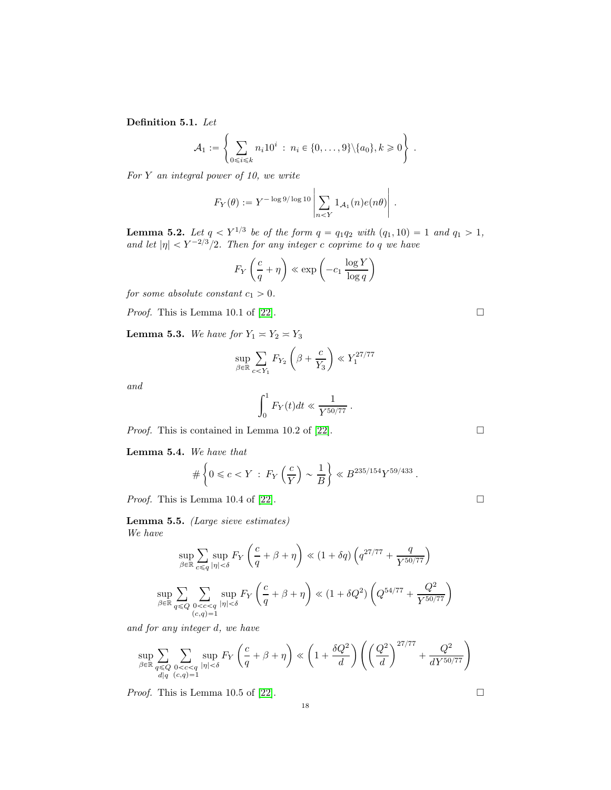Definition 5.1. Let

$$
\mathcal{A}_1 := \left\{ \sum_{0 \le i \le k} n_i 10^i : n_i \in \{0, \ldots, 9\} \setminus \{a_0\}, k \ge 0 \right\}.
$$

For  $Y$  an integral power of 10, we write

$$
F_Y(\theta) := Y^{-\log 9/\log 10} \left| \sum_{n \leq Y} 1_{\mathcal{A}_1}(n) e(n\theta) \right|.
$$

**Lemma 5.2.** Let  $q < Y^{1/3}$  be of the form  $q = q_1q_2$  with  $(q_1, 10) = 1$  and  $q_1 > 1$ , and let  $|\eta| < Y^{-2/3}/2$ . Then for any integer c coprime to q we have

$$
F_Y \left(\frac{c}{q} + \eta\right) \ll \exp\left(-c_1 \frac{\log Y}{\log q}\right)
$$

for some absolute constant  $c_1 > 0$ .

*Proof.* This is Lemma 10.1 of [\[22\]](#page-38-14).

**Lemma 5.3.** We have for  $Y_1 \approx Y_2 \approx Y_3$ 

$$
\sup_{\beta \in \mathbb{R}} \sum_{c < Y_1} F_{Y_2} \left( \beta + \frac{c}{Y_3} \right) \ll Y_1^{27/77}
$$

and

$$
\int_0^1 F_Y(t)dt \ll \frac{1}{Y^{50/77}}.
$$

*Proof.* This is contained in Lemma 10.2 of [\[22\]](#page-38-14).  $\Box$ 

<span id="page-17-1"></span>Lemma 5.4. We have that

$$
\#\left\{0 \leqslant c < Y \,:\, F_Y\left(\frac{c}{Y}\right) \sim \frac{1}{B}\right\} \ll B^{235/154} Y^{59/433} \,.
$$

*Proof.* This is Lemma 10.4 of [\[22\]](#page-38-14).

<span id="page-17-0"></span>Lemma 5.5. (Large sieve estimates) We have

$$
\sup_{\beta \in \mathbb{R}} \sum_{c \leq q} \sup_{|\eta| < \delta} F_Y \left( \frac{c}{q} + \beta + \eta \right) \ll (1 + \delta q) \left( q^{27/77} + \frac{q}{Y^{50/77}} \right)
$$
  

$$
\sup_{\beta \in \mathbb{R}} \sum_{q \leq Q} \sum_{\substack{0 < c < q \\ (c,q) = 1}} \sup_{|\eta| < \delta} F_Y \left( \frac{c}{q} + \beta + \eta \right) \ll (1 + \delta Q^2) \left( Q^{54/77} + \frac{Q^2}{Y^{50/77}} \right)
$$

and for any integer d, we have

$$
\sup_{\beta \in \mathbb{R}} \sum_{\substack{q \leq Q \\ d \mid q}} \sum_{\substack{0 < c < q \\ (c,q) = 1}} \sup_{|\eta| < \delta} F_Y \left( \frac{c}{q} + \beta + \eta \right) \ll \left( 1 + \frac{\delta Q^2}{d} \right) \left( \left( \frac{Q^2}{d} \right)^{27/77} + \frac{Q^2}{d Y^{50/77}} \right)
$$

*Proof.* This is Lemma 10.5 of [\[22\]](#page-38-14).

18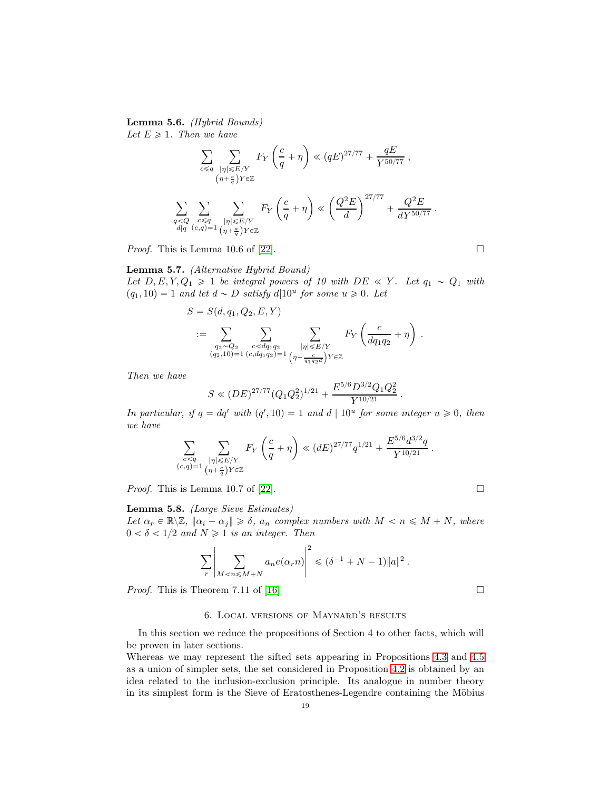<span id="page-18-0"></span>Lemma 5.6. (Hybrid Bounds) Let  $E \geqslant 1$ . Then we have

$$
\sum_{c \leq q} \sum_{\substack{|\eta| \leq E/Y \\ (\eta + \frac{c}{q})Y \in \mathbb{Z} \\ d|q}} F_Y \left( \frac{c}{q} + \eta \right) \ll (qE)^{27/77} + \frac{qE}{Y^{50/77}} ,
$$
\n
$$
\sum_{\substack{q < Q \\ d|q}} \sum_{\substack{c \leq q \\ (c,q) = 1}} \sum_{\substack{|\eta| \leq E/Y \\ (\eta + \frac{a}{q})Y \in \mathbb{Z} }} F_Y \left( \frac{c}{q} + \eta \right) \ll \left( \frac{Q^2 E}{d} \right)^{27/77} + \frac{Q^2 E}{dY^{50/77}} .
$$

*Proof.* This is Lemma 10.6 of [\[22\]](#page-38-14).

## Lemma 5.7. (Alternative Hybrid Bound)

Let  $D, E, Y, Q_1 \geq 1$  be integral powers of 10 with  $DE \ll Y$ . Let  $q_1 \sim Q_1$  with  $(q_1, 10) = 1$  and let  $d \sim D$  satisfy  $d|10^u$  for some  $u \ge 0$ . Let

$$
S = S(d, q_1, Q_2, E, Y)
$$
  
 := 
$$
\sum_{\substack{q_2 \sim Q_2 \\ (q_2, 10) = 1}} \sum_{\substack{c < dq_1 q_2 \\ (c, dq_1 q_2) = 1}} \sum_{\substack{|\eta| \le E/Y \\ \eta + \frac{c}{q_1 q_2 d} \, Y \in \mathbb{Z}}} F_Y \left( \frac{c}{dq_1 q_2} + \eta \right).
$$

Then we have

$$
S \ll (DE)^{27/77} (Q_1 Q_2^2)^{1/21} + \frac{E^{5/6} D^{3/2} Q_1 Q_2^2}{Y^{10/21}}.
$$

In particular, if  $q = dq'$  with  $(q', 10) = 1$  and  $d | 10^u$  for some integer  $u \ge 0$ , then we have

$$
\sum_{\substack{c < q \\ (c,q) = 1}} \sum_{\substack{|\eta| \leqslant E/Y \\ (\eta + \frac{c}{q})Y \in \mathbb{Z}}} F_Y \left( \frac{c}{q} + \eta \right) \ll (dE)^{27/77} q^{1/21} + \frac{E^{5/6} d^{3/2} q}{Y^{10/21}} \, .
$$

*Proof.* This is Lemma 10.7 of [\[22\]](#page-38-14).

## Lemma 5.8. (Large Sieve Estimates)

Let  $\alpha_r \in \mathbb{R} \setminus \mathbb{Z}$ ,  $\|\alpha_i - \alpha_j\| \geq \delta$ ,  $a_n$  complex numbers with  $M < n \leq M + N$ , where  $0 < \delta < 1/2$  and  $N \geq 1$  is an integer. Then

$$
\sum_{r} \left| \sum_{M < n \le M+N} a_n e(\alpha_r n) \right|^2 \le (\delta^{-1} + N - 1) \|a\|^2 \, .
$$

*Proof.* This is Theorem 7.11 of [\[16\]](#page-38-16)

#### 6. Local versions of Maynard's results

In this section we reduce the propositions of Section 4 to other facts, which will be proven in later sections.

Whereas we may represent the sifted sets appearing in Propositions [4.3](#page-8-1) and [4.5](#page-9-0) as a union of simpler sets, the set considered in Proposition [4.2](#page-8-0) is obtained by an idea related to the inclusion-exclusion principle. Its analogue in number theory in its simplest form is the Sieve of Eratosthenes-Legendre containing the Möbius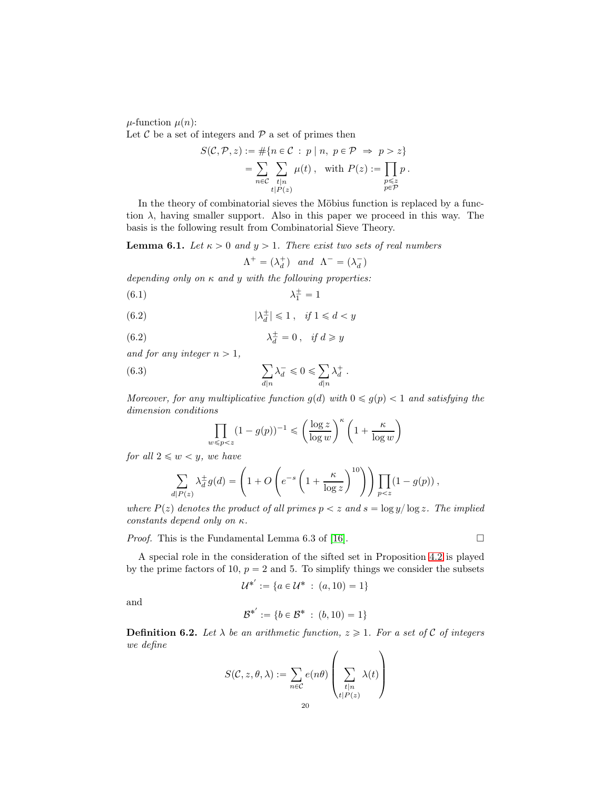$\mu$ -function  $\mu(n)$ :

Let  $\mathcal C$  be a set of integers and  $\mathcal P$  a set of primes then

$$
S(C, \mathcal{P}, z) := #\{n \in C : p \mid n, p \in \mathcal{P} \implies p > z\}
$$
  
= 
$$
\sum_{n \in C} \sum_{\substack{t | n \ t \mid P(z)}} \mu(t), \text{ with } P(z) := \prod_{\substack{p \leq z \ p \in \mathcal{P}}} p.
$$

In the theory of combinatorial sieves the Möbius function is replaced by a function  $\lambda$ , having smaller support. Also in this paper we proceed in this way. The basis is the following result from Combinatorial Sieve Theory.

<span id="page-19-0"></span>**Lemma 6.1.** Let  $\kappa > 0$  and  $y > 1$ . There exist two sets of real numbers

$$
\Lambda^+ = (\lambda_d^+) \quad and \quad \Lambda^- = (\lambda_d^-)
$$

depending only on  $\kappa$  and  $y$  with the following properties:

$$
\lambda_1^{\pm} = 1
$$

(6.2) 
$$
|\lambda_d^{\pm}| \leq 1, \quad \text{if } 1 \leq d < y
$$

(6.2) 
$$
\lambda_d^{\pm} = 0 \,, \quad \text{if } d \geqslant y
$$

and for any integer  $n > 1$ ,

(6.3) 
$$
\sum_{d|n} \lambda_d^- \leq 0 \leq \sum_{d|n} \lambda_d^+.
$$

Moreover, for any multiplicative function  $g(d)$  with  $0 \leq g(p) < 1$  and satisfying the dimension conditions  $\sqrt{\kappa}$   $\sqrt{\kappa}$ 

$$
\prod_{w \le p < z} (1 - g(p))^{-1} \le \left(\frac{\log z}{\log w}\right)^{\kappa} \left(1 + \frac{\kappa}{\log w}\right)
$$

for all  $2 \leqslant w < y$ , we have

$$
\sum_{d|P(z)} \lambda_d^{\pm} g(d) = \left(1 + O\left(e^{-s} \left(1 + \frac{\kappa}{\log z}\right)^{10}\right)\right) \prod_{p < z} (1 - g(p)),
$$

where  $P(z)$  denotes the product of all primes  $p < z$  and  $s = \log y / \log z$ . The implied constants depend only on κ.

*Proof.* This is the Fundamental Lemma 6.3 of [\[16\]](#page-38-16).  $\Box$ 

A special role in the consideration of the sifted set in Proposition [4.2](#page-8-0) is played by the prime factors of 10,  $p = 2$  and 5. To simplify things we consider the subsets

$$
\mathcal{U}^{*'} := \{ a \in \mathcal{U}^* \; : \; (a, 10) = 1 \}
$$

and

$$
\mathcal{B}^{*'} := \{b \in \mathcal{B}^* \; : \; (b, 10) = 1\}
$$

**Definition 6.2.** Let  $\lambda$  be an arithmetic function,  $z \geq 1$ . For a set of C of integers we define  $\overline{a}$  $\lambda$ 

$$
S(C, z, \theta, \lambda) := \sum_{n \in C} e(n\theta) \left( \sum_{\substack{t|n \\ t|P(z)}} \lambda(t) \right)
$$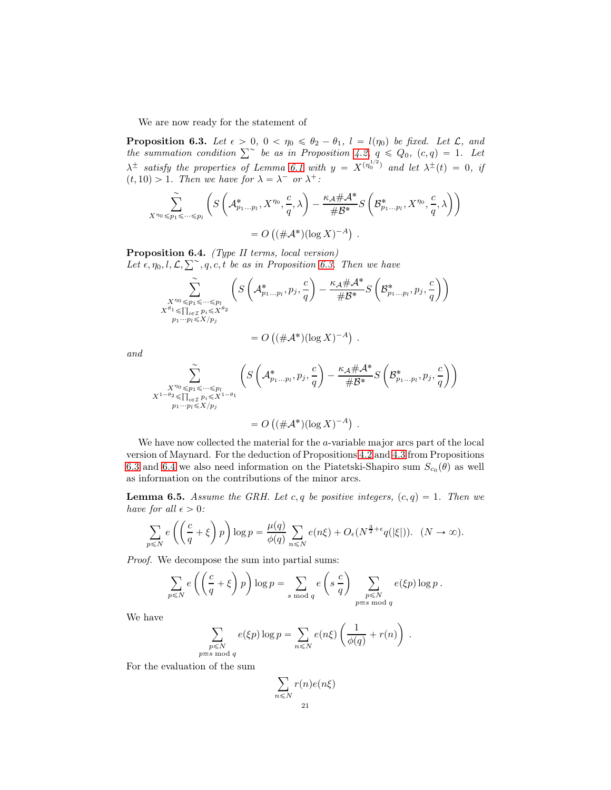We are now ready for the statement of

<span id="page-20-0"></span>**Proposition 6.3.** Let  $\epsilon > 0$ ,  $0 < \eta_0 \le \theta_2 - \theta_1$ ,  $l = l(\eta_0)$  be fixed. Let  $\mathcal{L}$ , and the summation condition  $\sum^{\infty}$  be as in Proposition [4.2,](#page-8-0)  $q \leq Q_0$ ,  $(c,q) = 1$ . Let  $\lambda^{\pm}$  satisfy the properties of Lemma [6.1](#page-19-0) with  $y = X^{(\eta_0^{1/2})}$  and let  $\lambda^{\pm}(t) = 0$ , if  $(t, 10) > 1$ . Then we have for  $\lambda = \lambda^-$  or  $\lambda^+$ :

$$
\sum_{X^{n_0}\leq p_1\leq \cdots \leq p_l}^{\sim} \left( S\left(\mathcal{A}_{p_1\ldots p_l}^*, X^{n_0}, \frac{c}{q}, \lambda\right) - \frac{\kappa_{\mathcal{A}}\#\mathcal{A}^*}{\#\mathcal{B}^*} S\left(\mathcal{B}_{p_1\ldots p_l}^*, X^{n_0}, \frac{c}{q}, \lambda\right) \right)
$$
  
=  $O\left((\#\mathcal{A}^*)(\log X)^{-A}\right).$ 

<span id="page-20-1"></span>Proposition 6.4. (Type II terms, local version) Let  $\epsilon, \eta_0, l, \mathcal{L}, \sum, \gamma, q, c, t$  be as in Proposition [6.3.](#page-20-0) Then we have

$$
\sum_{\substack{X^{\eta_0} \leq p_1 \leq \dots \leq p_l \\ X^{\theta_1} \leq \prod_{i \in \mathcal{I}} p_i \leq X^{\theta_2} \\ p_1 \cdots p_l \leq X/p_j}} \left( S\left(\mathcal{A}_{p_1 \dots p_l}^*, p_j, \frac{c}{q}\right) - \frac{\kappa_{\mathcal{A}} \# \mathcal{A}^*}{\# \mathcal{B}^*} S\left(\mathcal{B}_{p_1 \dots p_l}^*, p_j, \frac{c}{q}\right) \right)
$$

$$
= O\left((\#\mathcal{A}^*)(\log X)^{-A}\right) \ .
$$

and

$$
\sum_{\substack{X^{n_0}\leq p_1\leq \cdots \leq p_l\\ X^{1-\theta_2}\leq \prod_{i\in \mathcal{I}} p_i\leq X^{1-\theta_1}\\ p_1\cdots p_l\leq X/p_j}} \left( S\left(\mathcal{A}_{p_1\ldots p_l}^*, p_j, \frac{c}{q}\right) - \frac{\kappa_{\mathcal{A}}\#\mathcal{A}^*}{\#\mathcal{B}^*} S\left(\mathcal{B}_{p_1\ldots p_l}^*, p_j, \frac{c}{q}\right) \right) = O\left((\#\mathcal{A}^*)(\log X)^{-A}\right).
$$

We have now collected the material for the a-variable major arcs part of the local version of Maynard. For the deduction of Propositions [4.2](#page-8-0) and [4.3](#page-8-1) from Propositions [6.3](#page-20-0) and [6.4](#page-20-1) we also need information on the Piatetski-Shapiro sum  $S_{c_0}(\theta)$  as well as information on the contributions of the minor arcs.

<span id="page-20-2"></span>**Lemma 6.5.** Assume the GRH. Let c, q be positive integers,  $(c, q) = 1$ . Then we have for all  $\epsilon > 0$ :

$$
\sum_{p\leq N} e\left(\left(\frac{c}{q}+\xi\right)p\right) \log p = \frac{\mu(q)}{\phi(q)} \sum_{n\leq N} e(n\xi) + O_{\epsilon}(N^{\frac{3}{2}+\epsilon}q(|\xi|)). \quad (N\to\infty).
$$

Proof. We decompose the sum into partial sums:

$$
\sum_{p \leq N} e\left( \left( \frac{c}{q} + \xi \right) p \right) \log p = \sum_{s \bmod q} e\left( s \frac{c}{q} \right) \sum_{\substack{p \leq N \\ p \equiv s \bmod q}} e(\xi p) \log p.
$$

We have

$$
\sum_{\substack{p\leq N\\p\equiv s \bmod q}} e(\xi p) \log p = \sum_{n\leq N} e(n\xi) \left(\frac{1}{\phi(q)} + r(n)\right).
$$

For the evaluation of the sum

$$
\sum_{n \leq N} r(n)e(n\xi)
$$
  
21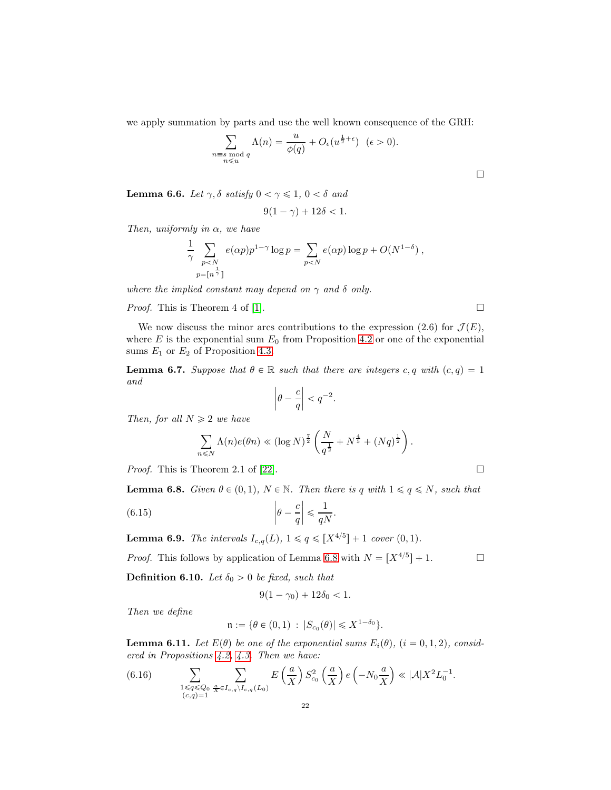we apply summation by parts and use the well known consequence of the GRH:

$$
\sum_{\substack{n \equiv s \bmod q \\ n \leqslant u}} \Lambda(n) = \frac{u}{\phi(q)} + O_{\epsilon}(u^{\frac{1}{2} + \epsilon}) \quad (\epsilon > 0).
$$

<span id="page-21-1"></span>**Lemma 6.6.** Let  $\gamma$ ,  $\delta$  satisfy  $0 < \gamma \leq 1$ ,  $0 < \delta$  and

$$
9(1-\gamma) + 12\delta < 1.
$$

Then, uniformly in  $\alpha$ , we have

$$
\frac{1}{\gamma} \sum_{\substack{p < N \\ p = \lceil n^{\frac{1}{\gamma}} \rceil}} e(\alpha p) p^{1-\gamma} \log p = \sum_{p < N} e(\alpha p) \log p + O(N^{1-\delta}),
$$

where the implied constant may depend on  $\gamma$  and  $\delta$  only.

*Proof.* This is Theorem 4 of [\[1\]](#page-37-1).  $\square$ 

We now discuss the minor arcs contributions to the expression (2.6) for  $\mathcal{J}(E)$ , where  $E$  is the exponential sum  $E_0$  from Proposition [4.2](#page-8-0) or one of the exponential sums  $E_1$  or  $E_2$  of Proposition [4.3.](#page-8-1)

<span id="page-21-3"></span>**Lemma 6.7.** Suppose that  $\theta \in \mathbb{R}$  such that there are integers c, q with  $(c, q) = 1$ and

$$
\left|\theta-\frac{c}{q}\right|
$$

Then, for all  $N \geq 2$  we have

$$
\sum_{n\leq N} \Lambda(n)e(\theta n) \ll (\log N)^{\frac{7}{2}} \left(\frac{N}{q^{\frac{1}{2}}} + N^{\frac{4}{5}} + (Nq)^{\frac{1}{2}}\right).
$$

*Proof.* This is Theorem 2.1 of [\[22\]](#page-38-14).

<span id="page-21-0"></span>**Lemma 6.8.** Given  $\theta \in (0, 1), N \in \mathbb{N}$ . Then there is q with  $1 \leq q \leq N$ , such that

.

(6.15) 
$$
\left|\theta - \frac{c}{q}\right| \leq \frac{1}{qN}
$$

<span id="page-21-4"></span>**Lemma 6.9.** The intervals  $I_{c,q}(L)$ ,  $1 \leq q \leq [X^{4/5}] + 1$  cover  $(0, 1)$ .

*Proof.* This follows by application of Lemma [6](#page-21-0).8 with  $N = [X^{4/5}] + 1$ .

**Definition 6.10.** Let  $\delta_0 > 0$  be fixed, such that

$$
9(1 - \gamma_0) + 12\delta_0 < 1.
$$

Then we define

$$
\mathfrak{n} := \{ \theta \in (0,1) \, : \, |S_{c_0}(\theta)| \leqslant X^{1-\delta_0} \}.
$$

<span id="page-21-2"></span>**Lemma 6.11.** Let  $E(\theta)$  be one of the exponential sums  $E_i(\theta)$ ,  $(i = 0, 1, 2)$ , considered in Propositions [4.2,](#page-8-0) [4.3.](#page-8-1) Then we have:

(6.16) 
$$
\sum_{\substack{1 \leq q \leq Q_0 \\ (c,q)=1}} \sum_{\frac{a}{X} \in I_{c,q} \setminus I_{c,q}(L_0)} E\left(\frac{a}{X}\right) S_{c_0}^2\left(\frac{a}{X}\right) e\left(-N_0 \frac{a}{X}\right) \ll |\mathcal{A}| X^2 L_0^{-1}.
$$

 $\Box$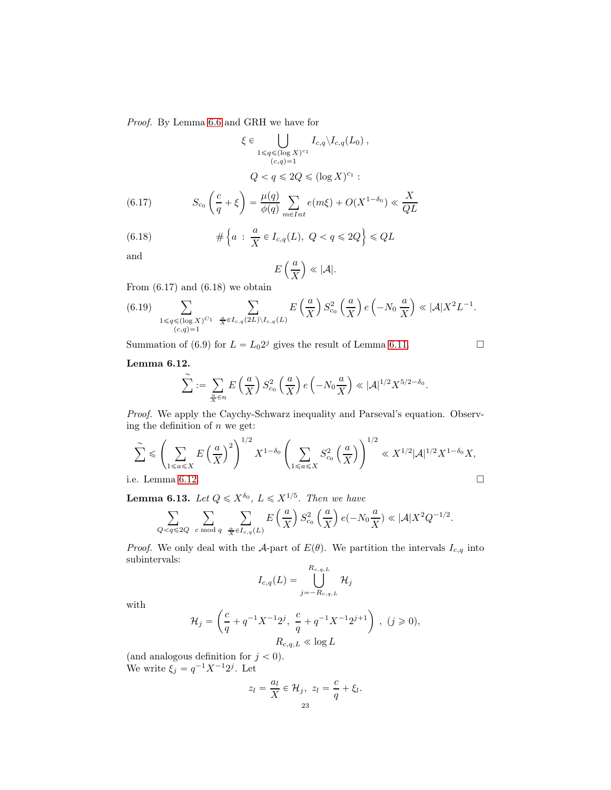Proof. By Lemma [6.6](#page-21-1) and GRH we have for

$$
\xi \in \bigcup_{1 \le q \le (\log X)^{c_1}} I_{c,q} \setminus I_{c,q}(L_0),
$$
  
\n
$$
Q < q \le 2Q \le (\log X)^{c_1}:
$$
  
\n(6.17) 
$$
S_{c_0} \left(\frac{c}{q} + \xi\right) = \frac{\mu(q)}{\phi(q)} \sum_{m \in Int} e(m\xi) + O(X^{1-\delta_0}) \ll \frac{X}{QL}
$$

(6.18) 
$$
\# \left\{ a : \frac{a}{X} \in I_{c,q}(L), \ Q < q \leqslant 2Q \right\} \leqslant QL
$$

and

$$
E\left(\frac{a}{X}\right) \ll |\mathcal{A}|.
$$

From  $(6.17)$  and  $(6.18)$  we obtain

$$
(6.19) \sum_{\substack{1 \leq q \leq (\log X)^{C_1} \\ (c,q)=1}} \sum_{\frac{a}{X} \in I_{c,q}(2L) \setminus I_{c,q}(L)} E\left(\frac{a}{X}\right) S_{c_0}^2\left(\frac{a}{X}\right) e\left(-N_0 \frac{a}{X}\right) \ll |\mathcal{A}| X^2 L^{-1}.
$$

Summation of (6.9) for  $L = L_0 2^j$  gives the result of Lemma [6.11.](#page-21-2)

## <span id="page-22-0"></span>Lemma 6.12.

$$
\widetilde{\sum} := \sum_{\frac{a}{X} \in n} E\left(\frac{a}{X}\right) S_{c_0}^2\left(\frac{a}{X}\right) e\left(-N_0 \frac{a}{X}\right) \ll |\mathcal{A}|^{1/2} X^{5/2 - \delta_0}.
$$

Proof. We apply the Caychy-Schwarz inequality and Parseval's equation. Observing the definition of  $n$  we get:

$$
\sum_{1 \le a \le X}^{\sim} \mathbb{E} \left( \sum_{1 \le a \le X} E\left(\frac{a}{X}\right)^2 \right)^{1/2} X^{1-\delta_0} \left( \sum_{1 \le a \le X} S_{c_0}^2\left(\frac{a}{X}\right) \right)^{1/2} \ll X^{1/2} |\mathcal{A}|^{1/2} X^{1-\delta_0} X,
$$
  
i.e. Lemma 6.12.

<span id="page-22-1"></span>**Lemma 6.13.** Let  $Q \leqslant X^{\delta_0}$ ,  $L \leqslant X^{1/5}$ . Then we have

$$
\sum_{Q
$$

*Proof.* We only deal with the A-part of  $E(\theta)$ . We partition the intervals  $I_{c,q}$  into subintervals:

$$
I_{c,q}(L) = \bigcup_{j=-R_{c,q,L}}^{R_{c,q,L}} \mathcal{H}_j
$$

with

$$
\mathcal{H}_j = \left(\frac{c}{q} + q^{-1}X^{-1}2^j, \ \frac{c}{q} + q^{-1}X^{-1}2^{j+1}\right), \ (j \geq 0),
$$
  

$$
R_{c,q,L} \ll \log L
$$

(and analogous definition for  $j < 0$ ). We write  $\xi_j = q^{-1} X^{-1} 2^j$ . Let

$$
z_l = \frac{a_l}{X} \in \mathcal{H}_j, \ z_l = \frac{c}{q} + \xi_l.
$$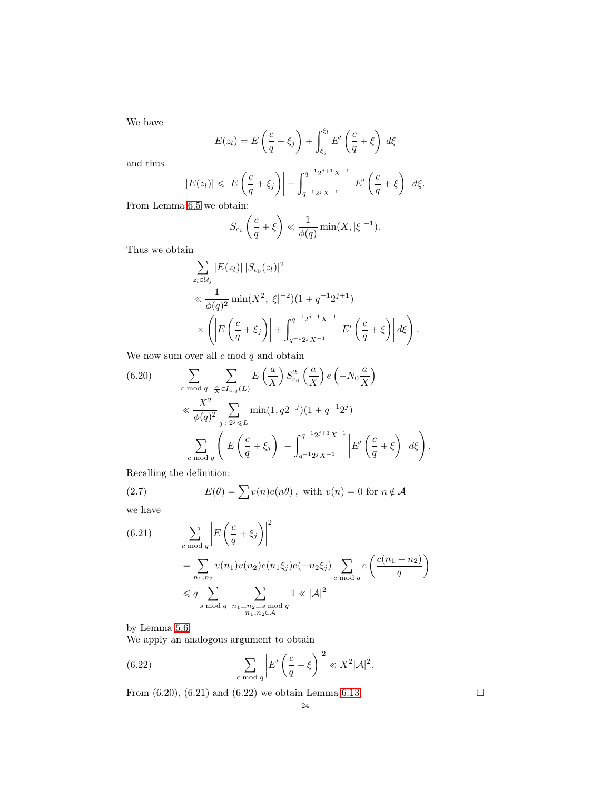We have

$$
E(z_l) = E\left(\frac{c}{q} + \xi_j\right) + \int_{\xi_j}^{\xi_l} E'\left(\frac{c}{q} + \xi\right) d\xi
$$

and thus

$$
|E(z_l)| \leq |E\left(\frac{c}{q} + \xi_j\right)| + \int_{q^{-1}2^j X^{-1}}^{q^{-1}2^{j+1} X^{-1}} |E'\left(\frac{c}{q} + \xi\right)| d\xi.
$$

From Lemma [6.5](#page-20-2) we obtain:

$$
S_{c_0}\left(\frac{c}{q}+\xi\right) \ll \frac{1}{\phi(q)}\min(X,|\xi|^{-1}).
$$

Thus we obtain

$$
\sum_{z_i \in \mathcal{U}_j} |E(z_l)| |S_{c_0}(z_l)|^2
$$
\n
$$
\ll \frac{1}{\phi(q)^2} \min(X^2, |\xi|^{-2}) (1 + q^{-1} 2^{j+1})
$$
\n
$$
\times \left( \left| E\left(\frac{c}{q} + \xi_j\right) \right| + \int_{q^{-1} 2^j X^{-1}}^{q^{-1} 2^{j+1} X^{-1}} \left| E'\left(\frac{c}{q} + \xi\right) \right| d\xi \right).
$$

We now sum over all  $c \bmod q$  and obtain

(6.20) 
$$
\sum_{c \bmod q} \sum_{\frac{a}{X} \in I_{c,q}(L)} E\left(\frac{a}{X}\right) S_{c_0}^2 \left(\frac{a}{X}\right) e\left(-N_0 \frac{a}{X}\right)
$$

$$
\ll \frac{X^2}{\phi(q)^2} \sum_{j \,:\, 2^j \leq L} \min(1, q2^{-j})(1 + q^{-1}2^j)
$$

$$
\sum_{c \bmod q} \left( \left| E\left(\frac{c}{q} + \xi_j\right) \right| + \int_{q^{-1}2^j X^{-1}}^{q^{-1}2^{j+1} X^{-1}} \left| E'\left(\frac{c}{q} + \xi\right) \right| d\xi \right).
$$

Recalling the definition:

(2.7) 
$$
E(\theta) = \sum v(n)e(n\theta), \text{ with } v(n) = 0 \text{ for } n \notin \mathcal{A}
$$

we have

(6.21) 
$$
\sum_{c \bmod q} \left| E\left(\frac{c}{q} + \xi_j\right) \right|^2
$$

$$
= \sum_{n_1, n_2} v(n_1)v(n_2)e(n_1\xi_j)e(-n_2\xi_j) \sum_{c \bmod q} e\left(\frac{c(n_1 - n_2)}{q}\right)
$$

$$
\leq q \sum_{s \bmod q} \sum_{\substack{n_1 \equiv n_2 \equiv s \bmod q \\ n_1, n_2 \in \mathcal{A}}} 1 \ll |\mathcal{A}|^2
$$

by Lemma [5.6.](#page-18-0)

We apply an analogous argument to obtain

(6.22) 
$$
\sum_{c \bmod q} \left| E'\left(\frac{c}{q} + \xi\right) \right|^2 \ll X^2 |\mathcal{A}|^2.
$$

From (6.20), (6.21) and (6.22) we obtain Lemma [6.13.](#page-22-1)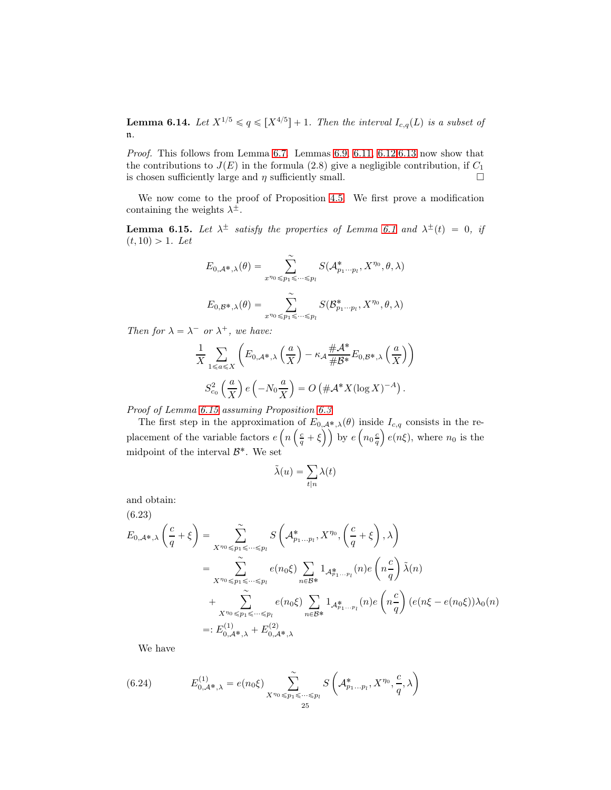<span id="page-24-1"></span>**Lemma 6.14.** Let  $X^{1/5} \leq q \leq [X^{4/5}] + 1$ . Then the interval  $I_{c,q}(L)$  is a subset of n.

Proof. This follows from Lemma [6.7.](#page-21-3) Lemmas [6.9,](#page-21-4) [6.11,](#page-21-2) [6.12](#page-22-0), 6.13 now show that the contributions to  $J(E)$  in the formula (2.8) give a negligible contribution, if  $C_1$ is chosen sufficiently large and  $\eta$  sufficiently small.

We now come to the proof of Proposition [4.5.](#page-9-0) We first prove a modification containing the weights  $\lambda^{\pm}$ .

<span id="page-24-0"></span>**Lemma [6.1](#page-19-0)5.** Let  $\lambda^{\pm}$  satisfy the properties of Lemma 6.1 and  $\lambda^{\pm}(t) = 0$ , if  $(t, 10) > 1.$  Let

$$
E_{0,\mathcal{A}^*,\lambda}(\theta) = \sum_{x^{\eta_0} \le p_1 \le \dots \le p_l}^{\sim} S(\mathcal{A}_{p_1 \dots p_l}^*, X^{\eta_0}, \theta, \lambda)
$$

$$
E_{0,\mathcal{B}^*,\lambda}(\theta) = \sum_{x^{\eta_0} \le p_1 \le \dots \le p_l}^{\sim} S(\mathcal{B}_{p_1 \dots p_l}^*, X^{\eta_0}, \theta, \lambda)
$$

Then for  $\lambda = \lambda^-$  or  $\lambda^+$ , we have:

$$
\frac{1}{X} \sum_{1 \le a \le X} \left( E_{0,A^*,\lambda} \left( \frac{a}{X} \right) - \kappa_A \frac{\# A^*}{\# B^*} E_{0,B^*,\lambda} \left( \frac{a}{X} \right) \right)
$$
  

$$
S_{c_0}^2 \left( \frac{a}{X} \right) e \left( -N_0 \frac{a}{X} \right) = O \left( \# A^* X (\log X)^{-A} \right).
$$

Proof of Lemma [6.15](#page-24-0) assuming Proposition [6.3](#page-20-0)

The first step in the approximation of  $E_{0,\mathcal{A}^*,\lambda}(\theta)$  inside  $I_{c,q}$  consists in the replacement of the variable factors  $e\left(n\left(\frac{c}{q}+\xi\right)\right)$  by  $e\left(n_0\frac{c}{q}\right)e(n\xi)$ , where  $n_0$  is the midpoint of the interval  $\mathcal{B}^*$ . We set

$$
\tilde{\lambda}(u) = \sum_{t|n} \lambda(t)
$$

and obtain:

(6.23)

$$
E_{0,\mathcal{A}^*,\lambda} \left( \frac{c}{q} + \xi \right) = \sum_{X^{n_0} \leq p_1 \leq \dots \leq p_l} S \left( \mathcal{A}_{p_1 \dots p_l}^*, X^{n_0}, \left( \frac{c}{q} + \xi \right), \lambda \right)
$$
  
\n
$$
= \sum_{X^{n_0} \leq p_1 \leq \dots \leq p_l} e(n_0 \xi) \sum_{n \in \mathcal{B}^*} 1_{\mathcal{A}_{p_1 \dots p_l}^*}(n) e \left( n \frac{c}{q} \right) \tilde{\lambda}(n)
$$
  
\n
$$
+ \sum_{X^{n_0} \leq p_1 \leq \dots \leq p_l} e(n_0 \xi) \sum_{n \in \mathcal{B}^*} 1_{\mathcal{A}_{p_1 \dots p_l}^*}(n) e \left( n \frac{c}{q} \right) (e(n\xi - e(n_0 \xi)) \lambda_0(n))
$$
  
\n
$$
= : E_{0,\mathcal{A}^*,\lambda}^{(1)} + E_{0,\mathcal{A}^*,\lambda}^{(2)}
$$

We have

(6.24) 
$$
E_{0,\mathcal{A}^*,\lambda}^{(1)} = e(n_0\xi) \sum_{X^{\eta_0} \leq p_1 \leq \dots \leq p_l}^{\sim} S\left(\mathcal{A}_{p_1...p_l}^*, X^{\eta_0}, \frac{c}{q}, \lambda\right)
$$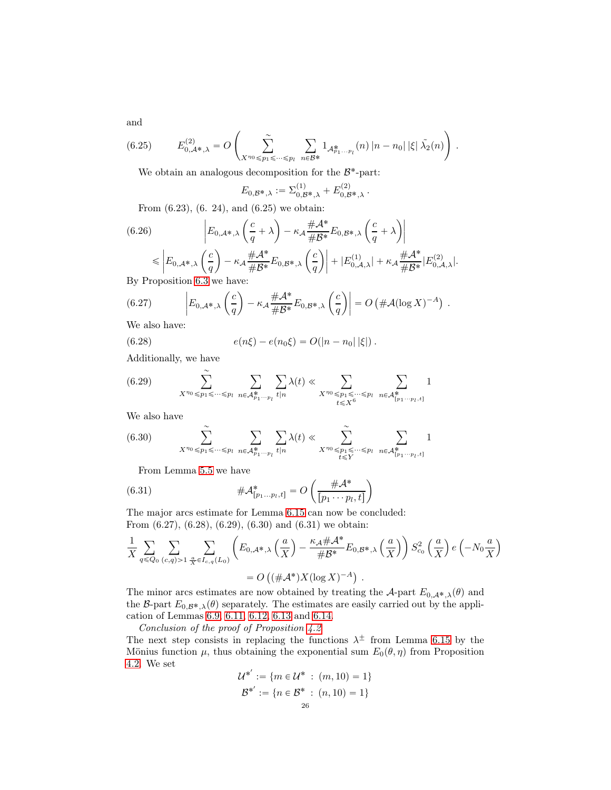and

(6.25) 
$$
E_{0,\mathcal{A}^*,\lambda}^{(2)} = O\left(\sum_{X^{n_0} \leq p_1 \leq \dots \leq p_l} \sum_{n \in \mathcal{B}^*} 1_{\mathcal{A}_{p_1...p_l}^*}(n) |n - n_0| |\xi| \tilde{\lambda_2}(n)\right).
$$

We obtain an analogous decomposition for the  $\mathcal{B}^*$ -part:

$$
E_{0,\mathcal{B}^*,\lambda} := \Sigma_{0,\mathcal{B}^*,\lambda}^{(1)} + E_{0,\mathcal{B}^*,\lambda}^{(2)}.
$$

From (6.23), (6. 24), and (6.25) we obtain:

(6.26) 
$$
\left| E_{0,A^*,\lambda} \left( \frac{c}{q} + \lambda \right) - \kappa_A \frac{\# A^*}{\# B^*} E_{0,B^*,\lambda} \left( \frac{c}{q} + \lambda \right) \right|
$$
  
\n
$$
\leq \left| E_{0,A^*,\lambda} \left( \frac{c}{q} \right) - \kappa_A \frac{\# A^*}{\# B^*} E_{0,B^*,\lambda} \left( \frac{c}{q} \right) \right| + \left| E_{0,A,\lambda}^{(1)} \right| + \kappa_A \frac{\# A^*}{\# B^*} |E_{0,A,\lambda}^{(2)}|.
$$
  
By Proposition 6.3 we have:

By Proposition [6.3](#page-20-0) we have:

(6.27) 
$$
\left| E_{0,\mathcal{A}^*,\lambda} \left( \frac{c}{q} \right) - \kappa_{\mathcal{A}} \frac{\#\mathcal{A}^*}{\#\mathcal{B}^*} E_{0,\mathcal{B}^*,\lambda} \left( \frac{c}{q} \right) \right| = O \left( \#\mathcal{A} (\log X)^{-A} \right) .
$$

We also have:

(6.28) 
$$
e(n\xi) - e(n_0\xi) = O(|n - n_0| |\xi|).
$$

Additionally, we have

(6.29) 
$$
\sum_{X^{n_0} \leq p_1 \leq \cdots \leq p_l} \sum_{n \in \mathcal{A}_{p_1 \cdots p_l}^*} \sum_{t|n} \lambda(t) \ll \sum_{\substack{X^{n_0} \leq p_1 \leq \cdots \leq p_l \\ t \leq X^6}} \sum_{n \in \mathcal{A}_{[p_1 \cdots p_l, t]}^*} 1
$$

We also have

$$
(6.30) \qquad \sum_{X^{\eta_0}\leq p_1\leq \cdots\leq p_l}\;\sum_{n\in\mathcal{A}_{p_1\cdots p_l}^*}\sum_{t|n}\lambda(t)\ll \sum_{X^{\eta_0}\leq p_1\leq \cdots\leq p_l}\;\sum_{n\in\mathcal{A}_{[p_1\cdots p_l,t]}^*}1
$$

From Lemma [5.5](#page-17-0) we have

(6.31) 
$$
\# \mathcal{A}_{[p_1...p_l,t]}^* = O\left(\frac{\# \mathcal{A}^*}{[p_1 \cdots p_l,t]}\right)
$$

The major arcs estimate for Lemma [6.15](#page-24-0) can now be concluded: From (6.27), (6.28), (6.29), (6.30) and (6.31) we obtain:

$$
\frac{1}{X} \sum_{q \leq Q_0} \sum_{(c,q) > 1} \sum_{\frac{a}{X} \in I_{c,q}(L_0)} \left( E_{0,\mathcal{A}^*,\lambda} \left( \frac{a}{X} \right) - \frac{\kappa_{\mathcal{A}} \# \mathcal{A}^*}{\# \mathcal{B}^*} E_{0,\mathcal{B}^*,\lambda} \left( \frac{a}{X} \right) \right) S_{c_0}^2 \left( \frac{a}{X} \right) e \left( -N_0 \frac{a}{X} \right)
$$

$$
= O\left( (\# \mathcal{A}^*) X (\log X)^{-A} \right) .
$$

The minor arcs estimates are now obtained by treating the A-part  $E_{0,A^*,\lambda}(\theta)$  and the B-part  $E_{0,\mathcal{B}^*,\lambda}(\theta)$  separately. The estimates are easily carried out by the application of Lemmas [6.9,](#page-21-4) [6.11,](#page-21-2) [6.12,](#page-22-0) [6.13](#page-22-1) and [6.14.](#page-24-1)

Conclusion of the proof of Proposition [4.2](#page-8-0)

The next step consists in replacing the functions  $\lambda^{\pm}$  from Lemma [6.15](#page-24-0) by the Mönius function  $\mu$ , thus obtaining the exponential sum  $E_0(\theta, \eta)$  from Proposition [4.2.](#page-8-0) We set

$$
\mathcal{U}^{*'} := \{ m \in \mathcal{U}^* : (m, 10) = 1 \}
$$

$$
\mathcal{B}^{*'} := \{ n \in \mathcal{B}^* : (n, 10) = 1 \}
$$

$$
26
$$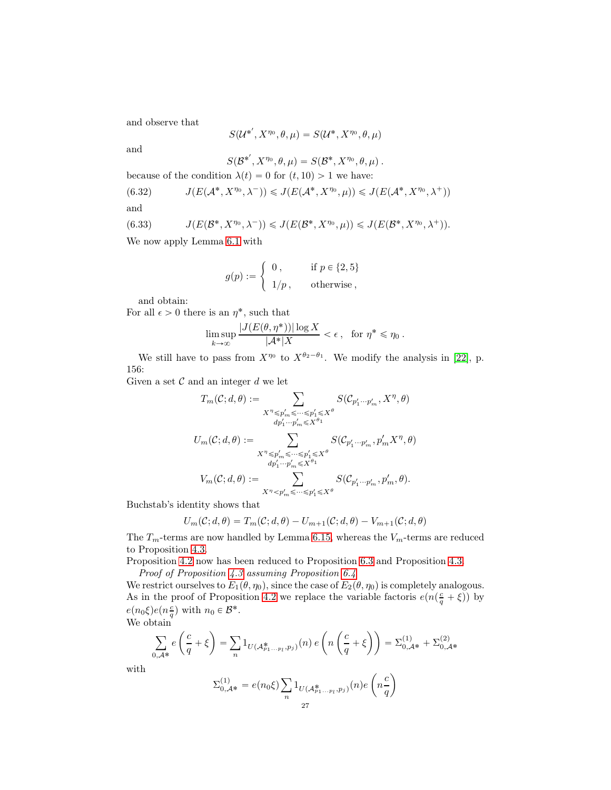and observe that

$$
S(\mathcal{U}^{*'}, X^{\eta_0}, \theta, \mu) = S(\mathcal{U}^*, X^{\eta_0}, \theta, \mu)
$$

and

$$
S(\mathcal{B}^{*'}, X^{\eta_0}, \theta, \mu) = S(\mathcal{B}^*, X^{\eta_0}, \theta, \mu) .
$$

because of the condition  $\lambda(t) = 0$  for  $(t, 10) > 1$  we have:

 $\overline{1}$ 

(6.32) 
$$
J(E(\mathcal{A}^*, X^{\eta_0}, \lambda^-)) \leqslant J(E(\mathcal{A}^*, X^{\eta_0}, \mu)) \leqslant J(E(\mathcal{A}^*, X^{\eta_0}, \lambda^+))
$$

and

(6.33) 
$$
J(E(\mathcal{B}^*, X^{\eta_0}, \lambda^-)) \leq J(E(\mathcal{B}^*, X^{\eta_0}, \mu)) \leq J(E(\mathcal{B}^*, X^{\eta_0}, \lambda^+)).
$$

We now apply Lemma [6.1](#page-19-0) with

$$
g(p) := \begin{cases} 0, & \text{if } p \in \{2, 5\} \\ 1/p, & \text{otherwise} \end{cases}
$$

and obtain:

For all  $\epsilon > 0$  there is an  $\eta^*$ , such that

$$
\limsup_{k \to \infty} \frac{|J(E(\theta, \eta^*))| \log X}{|\mathcal{A}^*|X} < \epsilon \,, \text{ for } \eta^* \le \eta_0 \,.
$$

We still have to pass from  $X^{\eta_0}$  to  $X^{\theta_2-\theta_1}$ . We modify the analysis in [\[22\]](#page-38-14), p. 156:

Given a set  $\mathcal C$  and an integer  $d$  we let

$$
T_m(\mathcal{C}; d, \theta) := \sum_{\substack{X^n \leq p'_m \leq \cdots \leq p'_1 \leq X^\theta \\ dp'_1 \cdots p'_m \leq X^{\theta_1}}} S(\mathcal{C}_{p'_1 \cdots p'_m}, X^\eta, \theta)
$$
  

$$
U_m(\mathcal{C}; d, \theta) := \sum_{\substack{X^n \leq p'_m \leq \cdots \leq p'_1 \leq X^\theta \\ dp'_1 \cdots p'_m \leq X^{\theta_1}}} S(\mathcal{C}_{p'_1 \cdots p'_m}, p'_m X^\eta, \theta)
$$
  

$$
V_m(\mathcal{C}; d, \theta) := \sum_{X^n < p'_m \leq \cdots \leq p'_1 \leq X^\theta} S(\mathcal{C}_{p'_1 \cdots p'_m}, p'_m, \theta).
$$

Buchstab's identity shows that

$$
U_m(C; d, \theta) = T_m(C; d, \theta) - U_{m+1}(C; d, \theta) - V_{m+1}(C; d, \theta)
$$

The  $T_m$ -terms are now handled by Lemma 6.[15](#page-24-0), whereas the  $V_m$ -terms are reduced to Proposition [4.3.](#page-8-1)

Proposition [4.2](#page-8-0) now has been reduced to Proposition [6.3](#page-20-0) and Proposition [4.3.](#page-8-1) Proof of Proposition [4.3](#page-8-1) assuming Proposition [6.4](#page-20-1)

We restrict ourselves to  $E_1(\theta, \eta_0)$ , since the case of  $E_2(\theta, \eta_0)$  is completely analogous. As in the proof of Proposition [4.2](#page-8-0) we replace the variable factoris  $e(n(\frac{c}{q} + \xi))$  by  $e(n_0\xi)e(n_q^c)$  with  $n_0 \in \mathcal{B}^*$ .

We obtain

$$
\sum_{0,\mathcal{A}^*} e\left(\frac{c}{q} + \xi\right) = \sum_n 1_{U(\mathcal{A}_{p_1...p_l}^*, p_j)}(n) e\left(n\left(\frac{c}{q} + \xi\right)\right) = \Sigma_{0,\mathcal{A}^*}^{(1)} + \Sigma_{0,\mathcal{A}^*}^{(2)}
$$

with

$$
\Sigma_{0,\mathcal{A}^*}^{(1)} = e(n_0\xi) \sum_n 1_{U(\mathcal{A}_{p_1...p_l}^*, p_j)}(n) e\left(n\frac{c}{q}\right)
$$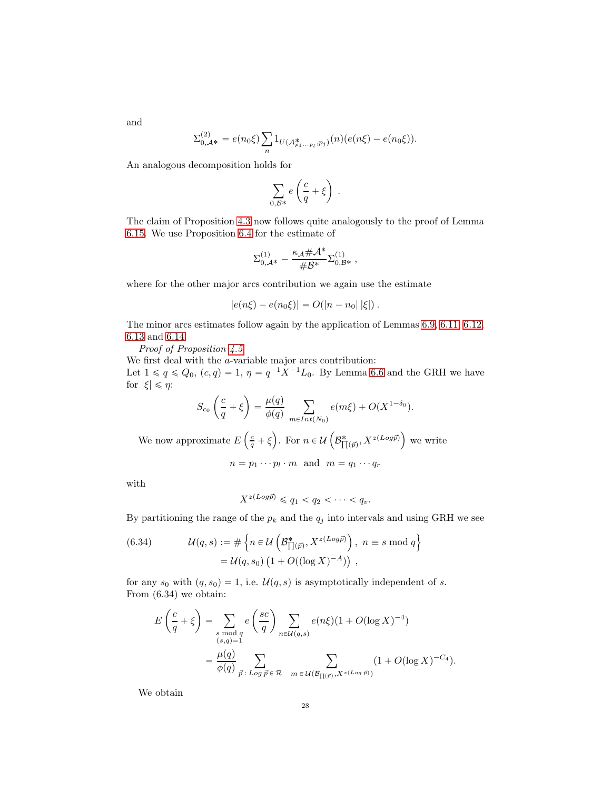and

$$
\Sigma_{0,\mathcal{A}^*}^{(2)} = e(n_0\xi) \sum_n 1_{U(\mathcal{A}_{p_1...p_l}^*, p_j)}(n) (e(n\xi) - e(n_0\xi)).
$$

An analogous decomposition holds for

$$
\sum_{0,\mathcal B^{\ast}} e\left(\frac{c}{q}+\xi\right)\;.
$$

The claim of Proposition [4.3](#page-8-1) now follows quite analogously to the proof of Lemma [6.15.](#page-24-0) We use Proposition [6.4](#page-20-1) for the estimate of

$$
\Sigma_{0,\mathcal{A}^*}^{(1)} - \frac{\kappa_{\mathcal{A}}\#\mathcal{A}^*}{\#\mathcal{B}^*}\Sigma_{0,\mathcal{B}^*}^{(1)}\;,
$$

where for the other major arcs contribution we again use the estimate

$$
|e(n\xi) - e(n_0\xi)| = O(|n - n_0| |\xi|).
$$

The minor arcs estimates follow again by the application of Lemmas [6.9,](#page-21-4) [6.11,](#page-21-2) [6.12,](#page-22-0) [6.13](#page-22-1) and [6.14.](#page-24-1)

Proof of Proposition  $4.5$ 

We first deal with the *a*-variable major arcs contribution: Let  $1 \leq q \leq Q_0$ ,  $(c, q) = 1$ ,  $\eta = q^{-1} X^{-1} L_0$ . By Lemma [6.6](#page-21-1) and the GRH we have for  $|\xi| \leq \eta$ :

$$
S_{c_0}\left(\frac{c}{q} + \xi\right) = \frac{\mu(q)}{\phi(q)} \sum_{m \in Int(N_0)} e(m\xi) + O(X^{1-\delta_0}).
$$
  
We now approximate  $E\left(\frac{c}{q} + \xi\right)$ . For  $n \in \mathcal{U}\left(\mathcal{B}_{\prod(\vec{p})}^*, X^{z(Log\vec{p})}\right)$  we write  

$$
n = p_1 \cdots p_l \cdot m \text{ and } m = q_1 \cdots q_r
$$

with

$$
X^{z(Log\vec{p})} \leq q_1 < q_2 < \cdots < q_v.
$$

By partitioning the range of the  $p_k$  and the  $q_j$  into intervals and using GRH we see

(6.34) 
$$
\mathcal{U}(q,s) := \# \left\{ n \in \mathcal{U} \left( \mathcal{B}_{\Pi(\vec{p})}^{*}, X^{z(Log\vec{p})} \right), n \equiv s \bmod q \right\}
$$

$$
= \mathcal{U}(q, s_0) \left( 1 + O((\log X)^{-A}) \right),
$$

for any  $s_0$  with  $(q, s_0) = 1$ , i.e.  $\mathcal{U}(q, s)$  is asymptotically independent of s. From (6.34) we obtain:

$$
E\left(\frac{c}{q} + \xi\right) = \sum_{\substack{s \bmod q \\ (s,q)=1}} e\left(\frac{sc}{q}\right) \sum_{n \in \mathcal{U}(q,s)} e(n\xi)(1 + O(\log X)^{-4})
$$
  
= 
$$
\frac{\mu(q)}{\phi(q)} \sum_{\vec{p}: Log \vec{p} \in \mathcal{R}} \sum_{m \in \mathcal{U}(\mathcal{B}_{\prod(\vec{p}),X^{z(Log \vec{p})}})} (1 + O(\log X)^{-C_4}).
$$

We obtain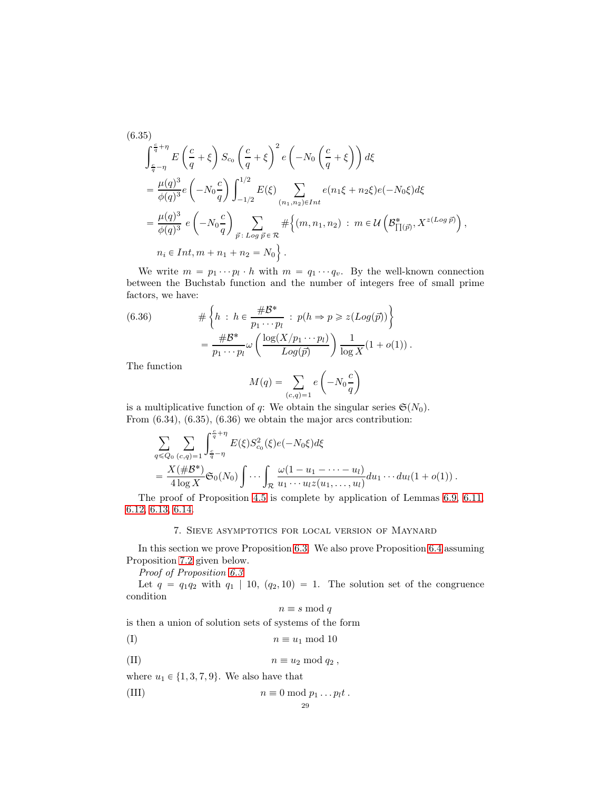$$
(6.35)
$$

$$
\int_{\frac{c}{q}-\eta}^{\frac{c}{q}+\eta} E\left(\frac{c}{q}+\xi\right) S_{c_0} \left(\frac{c}{q}+\xi\right)^2 e\left(-N_0 \left(\frac{c}{q}+\xi\right)\right) d\xi
$$
  
\n
$$
= \frac{\mu(q)^3}{\phi(q)^3} e\left(-N_0 \frac{c}{q}\right) \int_{-1/2}^{1/2} E(\xi) \sum_{(n_1, n_2) \in Int} e(n_1\xi + n_2\xi) e(-N_0\xi) d\xi
$$
  
\n
$$
= \frac{\mu(q)^3}{\phi(q)^3} e\left(-N_0 \frac{c}{q}\right) \sum_{\vec{p}: Log \vec{p} \in \mathcal{R}} \# \left\{(m, n_1, n_2) : m \in \mathcal{U}\left(\mathcal{B}_{\prod(\vec{p})}^*, X^{z(Log \vec{p})}\right),\right\}
$$
  
\n
$$
n_i \in Int, m + n_1 + n_2 = N_0 \}.
$$

We write  $m = p_1 \cdots p_l \cdot h$  with  $m = q_1 \cdots q_v$ . By the well-known connection between the Buchstab function and the number of integers free of small prime factors, we have:

(6.36) 
$$
\#\left\{h : h \in \frac{\# \mathcal{B}^*}{p_1 \cdots p_l} : p(h \Rightarrow p \geq z (Log(\vec{p}))\right\}
$$

$$
= \frac{\# \mathcal{B}^*}{p_1 \cdots p_l} \omega \left(\frac{\log(X/p_1 \cdots p_l)}{Log(\vec{p})}\right) \frac{1}{\log X} (1 + o(1)).
$$

The function

$$
M(q) = \sum_{(c,q)=1} e\left(-N_0 \frac{c}{q}\right)
$$

is a multiplicative function of q: We obtain the singular series  $\mathfrak{S}(N_0)$ . From (6.34), (6.35), (6.36) we obtain the major arcs contribution:

$$
\sum_{q \leq Q_0} \sum_{(c,q)=1} \int_{\frac{c}{q}-\eta}^{\frac{c}{q}+\eta} E(\xi) S_{c_0}^2(\xi) e(-N_0 \xi) d\xi \n= \frac{X(\# \mathcal{B}^*)}{4 \log X} \mathfrak{S}_0(N_0) \int \cdots \int_{\mathcal{R}} \frac{\omega(1-u_1 - \cdots - u_l)}{u_1 \cdots u_l z(u_1, \ldots, u_l)} du_1 \cdots du_l (1 + o(1)).
$$

The proof of Proposition [4.5](#page-9-0) is complete by application of Lemmas [6.9,](#page-21-4) [6.11,](#page-21-2) [6.12,](#page-22-0) [6.13,](#page-22-1) [6.14.](#page-24-1)

## 7. Sieve asymptotics for local version of Maynard

In this section we prove Proposition [6.3.](#page-20-0) We also prove Proposition [6.4](#page-20-1) assuming Proposition [7.2](#page-30-0) given below.

Proof of Proposition [6.3](#page-20-0)

Let  $q = q_1q_2$  with  $q_1 | 10$ ,  $(q_2, 10) = 1$ . The solution set of the congruence condition

$$
n \equiv s \bmod q
$$

is then a union of solution sets of systems of the form

$$
(I) \t n \equiv u_1 \bmod 10
$$

(II) 
$$
n \equiv u_2 \mod q_2 ,
$$

where  $u_1 \in \{1, 3, 7, 9\}$ . We also have that

(III) 
$$
n \equiv 0 \mod p_1 \dots p_l t \, .
$$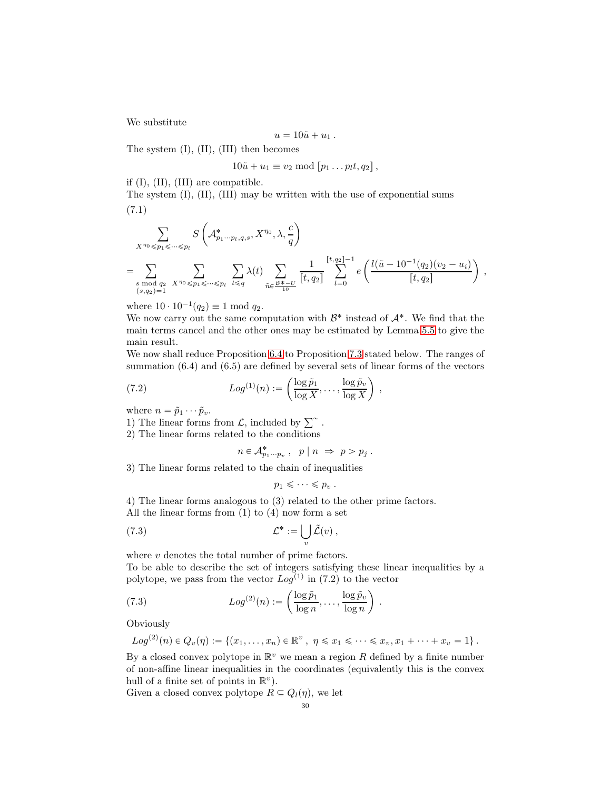We substitute

$$
u=10\tilde{u}+u_1.
$$

The system (I), (II), (III) then becomes

$$
10\tilde{u} + u_1 \equiv v_2 \bmod [p_1 \dots p_l t, q_2],
$$

if (I), (II), (III) are compatible.

The system (I), (II), (III) may be written with the use of exponential sums (7.1)

$$
\sum_{X^{\eta_0} \leq p_1 \leq \dots \leq p_l} S\left(\mathcal{A}_{p_1 \dots p_l, q, s}^*, X^{\eta_0}, \lambda, \frac{c}{q}\right)
$$
\n
$$
= \sum_{\substack{s \bmod{q_2} \\ (s, q_2) = 1}} \sum_{X^{\eta_0} \leq p_1 \leq \dots \leq p_l} \sum_{t \leq q} \lambda(t) \sum_{\tilde{n} \in \frac{B^* - U}{10}} \frac{1}{[t, q_2]} \sum_{l=0}^{[t, q_2] - 1} e\left(\frac{l(\tilde{u} - 10^{-1}(q_2)(v_2 - u_i)}{[t, q_2]}\right),
$$

where  $10 \cdot 10^{-1}(q_2) \equiv 1 \text{ mod } q_2$ .

We now carry out the same computation with  $\mathcal{B}^*$  instead of  $\mathcal{A}^*$ . We find that the main terms cancel and the other ones may be estimated by Lemma [5.5](#page-17-0) to give the main result.

We now shall reduce Proposition [6.4](#page-20-1) to Proposition [7.3](#page-30-1) stated below. The ranges of summation (6.4) and (6.5) are defined by several sets of linear forms of the vectors

,

.

(7.2) 
$$
Log^{(1)}(n) := \left(\frac{\log \tilde{p}_1}{\log X}, \dots, \frac{\log \tilde{p}_v}{\log X}\right)
$$

where  $n = \tilde{p}_1 \cdots \tilde{p}_v$ .

1) The linear forms from  $\mathcal{L}$ , included by  $\sum^{\infty}$ .

2) The linear forms related to the conditions

$$
n \in \mathcal{A}_{p_1 \cdots p_v}^*, \quad p \mid n \implies p > p_j \;.
$$

3) The linear forms related to the chain of inequalities

$$
p_1 \leqslant \cdots \leqslant p_v.
$$

4) The linear forms analogous to (3) related to the other prime factors. All the linear forms from  $(1)$  to  $(4)$  now form a set

(7.3) 
$$
\mathcal{L}^* := \bigcup_v \tilde{\mathcal{L}}(v) ,
$$

where  $v$  denotes the total number of prime factors.

To be able to describe the set of integers satisfying these linear inequalities by a polytope, we pass from the vector  $Log^{(1)}$  in (7.2) to the vector

(7.3) 
$$
Log^{(2)}(n) := \left(\frac{\log \tilde{p}_1}{\log n}, \dots, \frac{\log \tilde{p}_v}{\log n}\right)
$$

Obviously

$$
Log^{(2)}(n) \in Q_v(\eta) := \{ (x_1, \ldots, x_n) \in \mathbb{R}^v, \ \eta \leq x_1 \leq \cdots \leq x_v, x_1 + \cdots + x_v = 1 \}.
$$

By a closed convex polytope in  $\mathbb{R}^v$  we mean a region R defined by a finite number of non-affine linear inequalities in the coordinates (equivalently this is the convex hull of a finite set of points in  $\mathbb{R}^v$ .

Given a closed convex polytope  $R \subseteq Q_l(\eta)$ , we let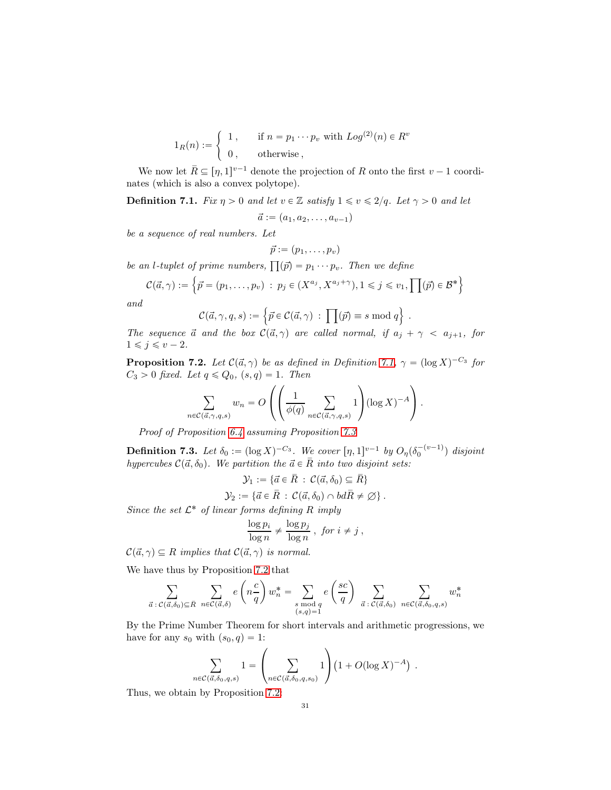$$
1_R(n) := \begin{cases} 1, & \text{if } n = p_1 \cdots p_v \text{ with } Log^{(2)}(n) \in R^v \\ 0, & \text{otherwise} \end{cases}
$$

We now let  $\bar{R} \subseteq [\eta, 1]^{v-1}$  denote the projection of R onto the first  $v - 1$  coordinates (which is also a convex polytope).

<span id="page-30-2"></span>**Definition 7.1.** Fix  $\eta > 0$  and let  $v \in \mathbb{Z}$  satisfy  $1 \leq v \leq 2/q$ . Let  $\gamma > 0$  and let

$$
\vec{a} := (a_1, a_2, \dots, a_{v-1})
$$

be a sequence of real numbers. Let

$$
\vec{p} := (p_1, \ldots, p_v)
$$

be an *l*-tuplet of prime numbers,  $\prod(\vec{p}) = p_1 \cdots p_v$ . Then we define

$$
\mathcal{C}(\vec{a}, \gamma) := \left\{ \vec{p} = (p_1, \dots, p_v) \; : \; p_j \in (X^{a_j}, X^{a_j + \gamma}), 1 \leq j \leq v_1, \prod(\vec{p}) \in \mathcal{B}^* \right\}
$$

and

$$
\mathcal{C}(\vec{a}, \gamma, q, s) := \left\{ \vec{p} \in \mathcal{C}(\vec{a}, \gamma) \, : \, \prod(\vec{p}) \equiv s \bmod q \right\} \, .
$$

The sequence  $\vec{a}$  and the box  $\mathcal{C}(\vec{a}, \gamma)$  are called normal, if  $a_j + \gamma < a_{j+1}$ , for  $1 \leqslant j \leqslant v - 2.$ 

<span id="page-30-0"></span>**Proposition 7.2.** Let  $C(\vec{a}, \gamma)$  be as defined in Definition [7.1,](#page-30-2)  $\gamma = (\log X)^{-C_3}$  for  $C_3 > 0$  fixed. Let  $q \leq Q_0$ ,  $(s, q) = 1$ . Then

$$
\sum_{n \in \mathcal{C}(\vec{a}, \gamma, q, s)} w_n = O\left( \left( \frac{1}{\phi(q)} \sum_{n \in \mathcal{C}(\vec{a}, \gamma, q, s)} 1 \right) (\log X)^{-A} \right).
$$

Proof of Proposition [6.4](#page-20-1) assuming Proposition [7.3](#page-30-1)

<span id="page-30-1"></span>**Definition 7.3.** Let  $\delta_0 := (\log X)^{-C_3}$ . We cover  $[\eta, 1]^{v-1}$  by  $O_\eta(\delta_0^{-(v-1)})$  disjoint hypercubes  $C(\vec{a}, \delta_0)$ . We partition the  $\vec{a} \in \overline{R}$  into two disjoint sets:

 $\mathcal{Y}_1 := \{ \vec{a} \in \overline{R} : C(\vec{a}, \delta_0) \subseteq \overline{R} \}$ 

$$
\mathcal{Y}_2 := \{ \vec{a} \in \overline{R} \, : \, \mathcal{C}(\vec{a}, \delta_0) \cap bd\overline{R} \neq \emptyset \} \, .
$$

Since the set  $\mathcal{L}^*$  of linear forms defining R imply

$$
\frac{\log p_i}{\log n} \neq \frac{\log p_j}{\log n}, \text{ for } i \neq j,
$$

 $\mathcal{C}(\vec{a}, \gamma) \subseteq R$  implies that  $\mathcal{C}(\vec{a}, \gamma)$  is normal.

We have thus by Proposition [7.2](#page-30-0) that

$$
\sum_{\vec{a}\;:\;C(\vec{a},\delta_0)\subseteq\bar{R}}\sum_{n\in\mathcal{C}(\vec{a},\delta)}e\left(n\frac{c}{q}\right)w_n^* = \sum_{\substack{s\; \text{mod }q\\(s,q)=1}}e\left(\frac{sc}{q}\right)\sum_{\vec{a}\;:\;C(\vec{a},\delta_0)}\sum_{n\in\mathcal{C}(\vec{a},\delta_0,q,s)}w_n^*
$$

By the Prime Number Theorem for short intervals and arithmetic progressions, we have for any  $s_0$  with  $(s_0, q) = 1$ :

$$
\sum_{\mathcal{C}(\vec{a},\delta_0,q,s)} 1 = \left(\sum_{n \in \mathcal{C}(\vec{a},\delta_0,q,s_0)} 1\right) \left(1 + O(\log X)^{-A}\right) .
$$

Thus, we obtain by Proposition [7.2:](#page-30-0)

 $n\in$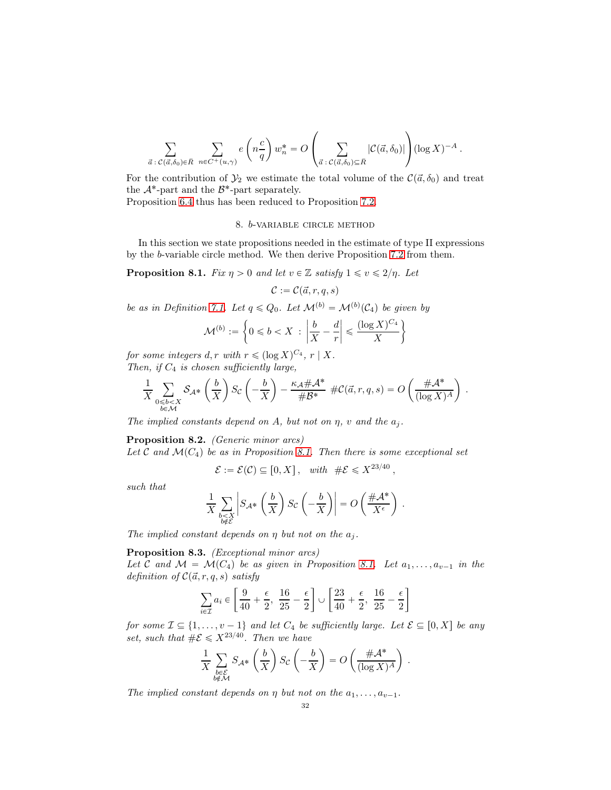$$
\sum_{\vec{a}\;:\;C(\vec{a},\delta_0)\in\bar{R}}\;\sum_{n\in C^+(u,\gamma)}e\left(n\frac{c}{q}\right)w_n^*=O\left(\sum_{\vec{a}\;:\;C(\vec{a},\delta_0)\subseteq\bar{R}}|\mathcal{C}(\vec{a},\delta_0)|\right)(\log X)^{-A}\;.
$$

For the contribution of  $\mathcal{Y}_2$  we estimate the total volume of the  $\mathcal{C}(\vec{a}, \delta_0)$  and treat the  $\mathcal{A}^*$ -part and the  $\mathcal{B}^*$ -part separately.

Proposition [6.4](#page-20-1) thus has been reduced to Proposition [7.2.](#page-30-0)

#### 8. b-variable circle method

In this section we state propositions needed in the estimate of type II expressions by the b-variable circle method. We then derive Proposition [7.2](#page-30-0) from them.

<span id="page-31-0"></span>**Proposition 8.1.** Fix  $\eta > 0$  and let  $v \in \mathbb{Z}$  satisfy  $1 \leq v \leq 2/\eta$ . Let

$$
\mathcal{C} := \mathcal{C}(\vec{a}, r, q, s)
$$

be as in Definition [7.1.](#page-30-2) Let  $q \leq Q_0$ . Let  $\mathcal{M}^{(b)} = \mathcal{M}^{(b)}(\mathcal{C}_4)$  be given by

$$
\mathcal{M}^{(b)} := \left\{ 0 \leq b < X \; : \; \left| \frac{b}{X} - \frac{d}{r} \right| \leq \frac{(\log X)^{C_4}}{X} \right\}
$$

for some integers  $d, r$  with  $r \leqslant (\log X)^{C_4}, r \mid X$ . Then, if  $C_4$  is chosen sufficiently large,

$$
\frac{1}{X}\sum_{\substack{0\leqslant b
$$

The implied constants depend on A, but not on  $\eta$ , v and the  $a_j$ .

<span id="page-31-1"></span>Proposition 8.2. (Generic minor arcs)

Let C and  $\mathcal{M}(C_4)$  be as in Proposition [8.1.](#page-31-0) Then there is some exceptional set

 $\mathcal{E} := \mathcal{E}(\mathcal{C}) \subseteq [0, X], \text{ with } \#\mathcal{E} \leqslant X^{23/40},$ 

such that

$$
\frac{1}{X}\sum_{\substack{b
$$

The implied constant depends on  $\eta$  but not on the  $a_i$ .

<span id="page-31-2"></span>Proposition 8.3. (Exceptional minor arcs)

Let C and  $\mathcal{M} = \mathcal{M}(C_4)$  be as given in Proposition [8.1.](#page-31-0) Let  $a_1, \ldots, a_{v-1}$  in the definition of  $C(\vec{a}, r, q, s)$  satisfy

$$
\sum_{i\in\mathcal{I}}a_i\in\left[\frac{9}{40}+\frac{\epsilon}{2},\ \frac{16}{25}-\frac{\epsilon}{2}\right]\cup\left[\frac{23}{40}+\frac{\epsilon}{2},\ \frac{16}{25}-\frac{\epsilon}{2}\right]
$$

for some  $\mathcal{I} \subseteq \{1, \ldots, v - 1\}$  and let  $C_4$  be sufficiently large. Let  $\mathcal{E} \subseteq [0, X]$  be any set, such that  $\#\mathcal{E} \leq X^{23/40}$ . Then we have

$$
\frac{1}{X} \sum_{\substack{b \in \mathcal{E} \\ b \notin \mathcal{M}}} S_{\mathcal{A}^*} \left(\frac{b}{X}\right) S_{\mathcal{C}} \left(-\frac{b}{X}\right) = O\left(\frac{\# \mathcal{A}^*}{(\log X)^A}\right) .
$$

The implied constant depends on  $\eta$  but not on the  $a_1, \ldots, a_{\nu-1}$ .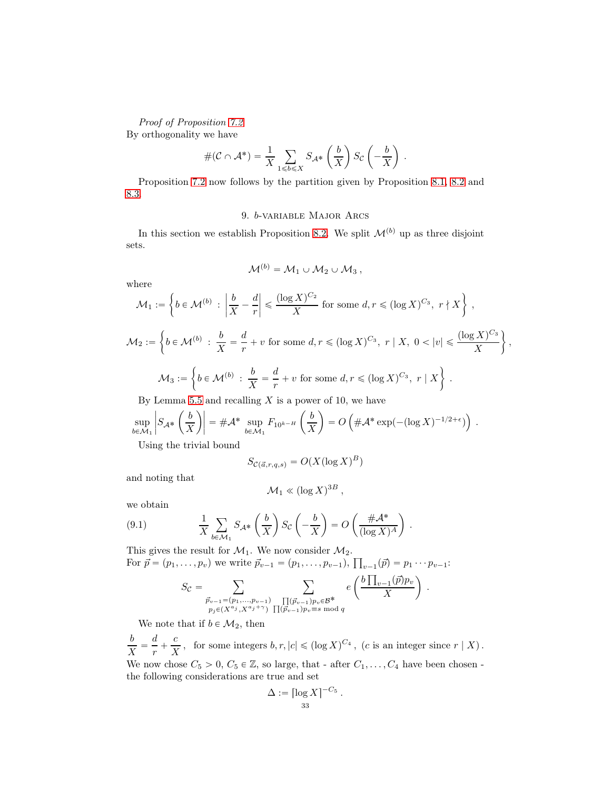Proof of Proposition [7.2](#page-30-0) By orthogonality we have

$$
#(\mathcal{C} \cap \mathcal{A}^*) = \frac{1}{X} \sum_{1 \le b \le X} S_{\mathcal{A}^*} \left(\frac{b}{X}\right) S_{\mathcal{C}} \left(-\frac{b}{X}\right) .
$$

Proposition [7.2](#page-30-0) now follows by the partition given by Proposition [8.1,](#page-31-0) [8.2](#page-31-1) and [8.3.](#page-31-2)

## 9. b-variable Major Arcs

In this section we establish Proposition [8.2.](#page-31-1) We split  $\mathcal{M}^{(b)}$  up as three disjoint sets.

$$
{\cal M}^{(b)}={\cal M}_1\cup {\cal M}_2\cup {\cal M}_3\,,
$$

where

$$
\mathcal{M}_1 := \left\{ b \in \mathcal{M}^{(b)} : \left| \frac{b}{X} - \frac{d}{r} \right| \leq \frac{(\log X)^{C_2}}{X} \text{ for some } d, r \leq (\log X)^{C_3}, r \nmid X \right\},\
$$
  

$$
\mathcal{M}_2 := \left\{ b \in \mathcal{M}^{(b)} : \frac{b}{X} = \frac{d}{r} + v \text{ for some } d, r \leq (\log X)^{C_3}, r \mid X, 0 < |v| \leq \frac{(\log X)^{C_3}}{X} \right\}
$$

X

.

,

$$
\mathcal{M}_3 := \left\{ b \in \mathcal{M}^{(b)} \; : \; \frac{b}{X} = \frac{d}{r} + v \text{ for some } d, r \leqslant (\log X)^{C_3}, \; r \mid X \right\} \; .
$$

By Lemma [5.5](#page-17-0) and recalling  $X$  is a power of 10, we have

$$
\sup_{b \in \mathcal{M}_1} \left| S_{\mathcal{A}^*} \left( \frac{b}{X} \right) \right| = \# \mathcal{A}^* \sup_{b \in \mathcal{M}_1} F_{10^{k-H}} \left( \frac{b}{X} \right) = O \left( \# \mathcal{A}^* \exp(-(\log X)^{-1/2 + \epsilon}) \right) .
$$
  
Using the trivial bound

Using the trivial bound

$$
S_{\mathcal{C}(\vec{a},r,q,s)} = O(X(\log X)^B)
$$

and noting that

$$
\mathcal{M}_1 \ll (\log X)^{3B} ,
$$

we obtain

(9.1) 
$$
\frac{1}{X} \sum_{b \in \mathcal{M}_1} S_{\mathcal{A}^*} \left(\frac{b}{X}\right) S_{\mathcal{C}} \left(-\frac{b}{X}\right) = O\left(\frac{\# \mathcal{A}^*}{(\log X)^A}\right)
$$

This gives the result for  $\mathcal{M}_1$ . We now consider  $\mathcal{M}_2$ . For  $\vec{p} = (p_1, \ldots, p_v)$  we write  $\vec{p}_{v-1} = (p_1, \ldots, p_{v-1}), \prod_{v-1}(\vec{p}) = p_1 \cdots p_{v-1}$ :

$$
S_{\mathcal{C}} = \sum_{\substack{\vec{p}_{v-1} = (p_1, \ldots, p_{v-1}) \\ p_j \in (X^{a_j}, X^{a_j + \gamma})}} \sum_{\substack{\prod (\vec{p}_{v-1})p_v \in \mathcal{B}^* \\ \prod (\vec{p}_{v-1})p_v \equiv s \bmod{q}}} e\left(\frac{b \prod_{v-1} (\vec{p}) p_v}{X}\right).
$$

We note that if  $b \in \mathcal{M}_2$ , then

b  $\frac{b}{X} = \frac{d}{r}$  $\frac{d}{r} + \frac{c}{\overline{X}}$  $\frac{c}{X}$ , for some integers  $b, r, |c| \leqslant (\log X)^{C_4}$ , (c is an integer since  $r | X$ ). We now chose  $C_5 > 0$ ,  $C_5 \in \mathbb{Z}$ , so large, that - after  $C_1, \ldots, C_4$  have been chosen the following considerations are true and set

$$
\Delta := \left[\log X\right]^{-C_5}.
$$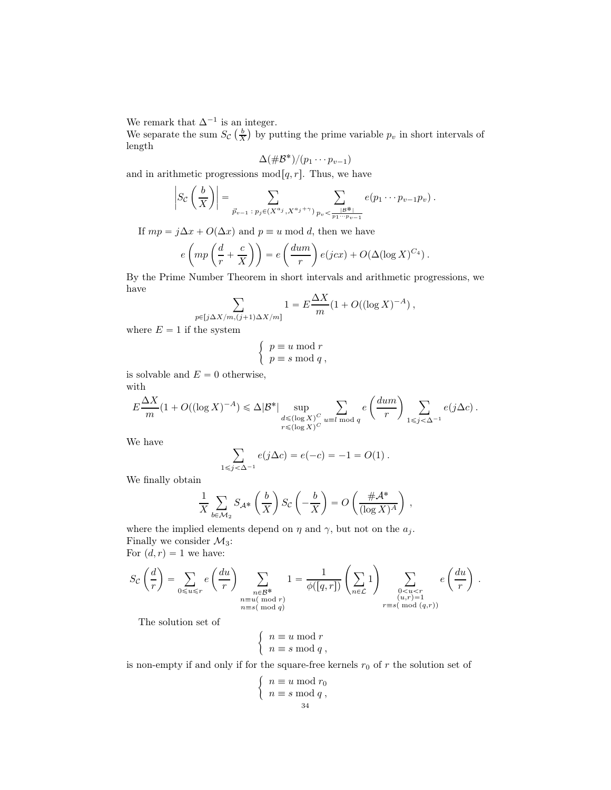We remark that  $\Delta^{-1}$  is an integer.

We separate the sum  $S_{\mathcal{C}}\left(\frac{b}{X}\right)$  by putting the prime variable  $p_v$  in short intervals of length

$$
\Delta(\#\mathcal{B}^*)/(p_1\cdots p_{v-1})
$$

and in arithmetic progressions  $mod[q, r]$ . Thus, we have

$$
\left|S_{\mathcal{C}}\left(\frac{b}{X}\right)\right| = \sum_{\vec{p}_{v-1} \,:\, p_j \in (X^{a_j}, X^{a_j + \gamma})} \sum_{p_v < \frac{|B^*|}{p_1 \cdots p_{v-1}}} e(p_1 \cdots p_{v-1} p_v).
$$

If  $mp = j\Delta x + O(\Delta x)$  and  $p \equiv u \mod d$ , then we have

$$
e\left(mp\left(\frac{d}{r}+\frac{c}{X}\right)\right)=e\left(\frac{dum}{r}\right)e(jcx)+O(\Delta(\log X)^{C_4}).
$$

By the Prime Number Theorem in short intervals and arithmetic progressions, we have

$$
\sum_{p\in [j\Delta X/m, (j+1)\Delta X/m]} 1 = E\frac{\Delta X}{m}(1+O((\log X)^{-A}),
$$

where  $E = 1$  if the system

$$
\begin{cases} p \equiv u \bmod r \\ p \equiv s \bmod q \end{cases}
$$

is solvable and  $E = 0$  otherwise, with

$$
E \frac{\Delta X}{m} (1 + O((\log X)^{-A}) \leq \Delta |\mathcal{B}^*| \sup_{\substack{d \leq (\log X)^C \\ r \leq (\log X)^C}} \sum_{u \equiv l \bmod q} e\left(\frac{d u m}{r}\right) \sum_{1 \leq j < \Delta^{-1}} e(j\Delta c) .
$$

We have

$$
\sum_{1 \le j < \Delta^{-1}} e(j\Delta c) = e(-c) = -1 = O(1) .
$$

We finally obtain

$$
\frac{1}{X} \sum_{b \in \mathcal{M}_2} S_{\mathcal{A}^*} \left(\frac{b}{X}\right) S_{\mathcal{C}} \left(-\frac{b}{X}\right) = O\left(\frac{\#\mathcal{A}^*}{(\log X)^A}\right) ,
$$

where the implied elements depend on  $\eta$  and  $\gamma$ , but not on the  $a_j$ . Finally we consider  $\mathcal{M}_3$ :

For  $(d, r) = 1$  we have:

$$
S_{\mathcal{C}}\left(\frac{d}{r}\right) = \sum_{0 \le u \le r} e\left(\frac{du}{r}\right) \sum_{\substack{n \in \mathcal{B}^* \ n \equiv u(\bmod r) \\ n \equiv s(\bmod q)}} 1 = \frac{1}{\phi([q, r])} \left(\sum_{n \in \mathcal{L}} 1\right) \sum_{\substack{0 < u < r \\ (u, r) = 1 \\ r \equiv s(\bmod (q, r))}} e\left(\frac{du}{r}\right) .
$$

The solution set of

$$
\left\{ \begin{array}{l} n\equiv u\bmod r\\ n\equiv s\bmod q\; ,\end{array} \right.
$$

is non-empty if and only if for the square-free kernels  $r_0$  of r the solution set of

$$
\begin{cases} n \equiv u \bmod r_0 \\ n \equiv s \bmod q \\ 34 \end{cases}
$$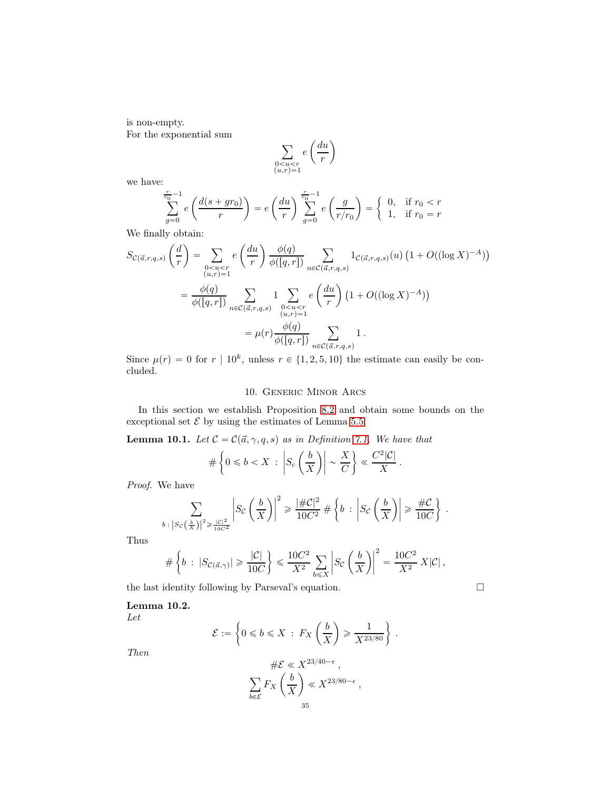is non-empty. For the exponential sum

$$
\sum_{\substack{0
$$

we have:

$$
\sum_{g=0}^{\frac{r}{r_0}-1} e\left(\frac{d(s+gr_0)}{r}\right) = e\left(\frac{du}{r}\right) \sum_{g=0}^{\frac{r}{r_0}-1} e\left(\frac{g}{r/r_0}\right) = \begin{cases} 0, & \text{if } r_0 < r \\ 1, & \text{if } r_0 = r \end{cases}
$$

We finally obtain:

$$
S_{\mathcal{C}(\vec{a},r,q,s)}\left(\frac{d}{r}\right) = \sum_{\substack{0
$$
= \frac{\phi(q)}{\phi([q,r])} \sum_{n\in\mathcal{C}(\vec{a},r,q,s)} 1 \sum_{\substack{0
$$
= \mu(r) \frac{\phi(q)}{\phi([q,r])} \sum_{n\in\mathcal{C}(\vec{a},r,q,s)} 1.
$$
$$
$$

Since  $\mu(r) = 0$  for  $r | 10^k$ , unless  $r \in \{1, 2, 5, 10\}$  the estimate can easily be concluded.

## 10. Generic Minor Arcs

In this section we establish Proposition [8.2](#page-31-1) and obtain some bounds on the exceptional set  ${\mathcal E}$  by using the estimates of Lemma [5.5.](#page-17-0)

<span id="page-34-0"></span>**Lemma 10.1.** Let  $C = C(\vec{a}, \gamma, q, s)$  as in Definition [7.1.](#page-30-2) We have that

$$
\#\left\{0\leqslant b
$$

Proof. We have

$$
\sum_{b \;:\; \left|S_C\left(\frac{b}{X}\right)\right|^2 \geqslant \frac{\left|C\right|^2}{10C^2}} \left|S_C\left(\frac{b}{X}\right)\right|^2 \geqslant \frac{\left|\#C\right|^2}{10C^2} \; \#\left\{b \;:\; \left|S_C\left(\frac{b}{X}\right)\right| \geqslant \frac{\#C}{10C}\right\} \;.
$$

Thus

$$
\#\left\{b\,:\,|S_{\mathcal{C}(\vec{a},\gamma)}|\geqslant \frac{|\mathcal{C}|}{10C}\right\}\leqslant \frac{10C^2}{X^2}\sum_{b\leqslant X}\left|S_{\mathcal{C}}\left(\frac{b}{X}\right)\right|^2=\frac{10C^2}{X^2}\,X|\mathcal{C}|,
$$

the last identity following by Parseval's equation.  $\Box$ 

## Lemma 10.2.

Let

$$
\mathcal{E} := \left\{ 0 \leq b \leq X \; : \; F_X \left( \frac{b}{X} \right) \geq \frac{1}{X^{23/80}} \right\} \; .
$$

Then

$$
\#\mathcal{E} \ll X^{23/40-\epsilon} ,
$$
  

$$
\sum_{b \in \mathcal{E}} F_X \left(\frac{b}{X}\right) \ll X^{23/80-\epsilon} ,
$$
  

$$
35
$$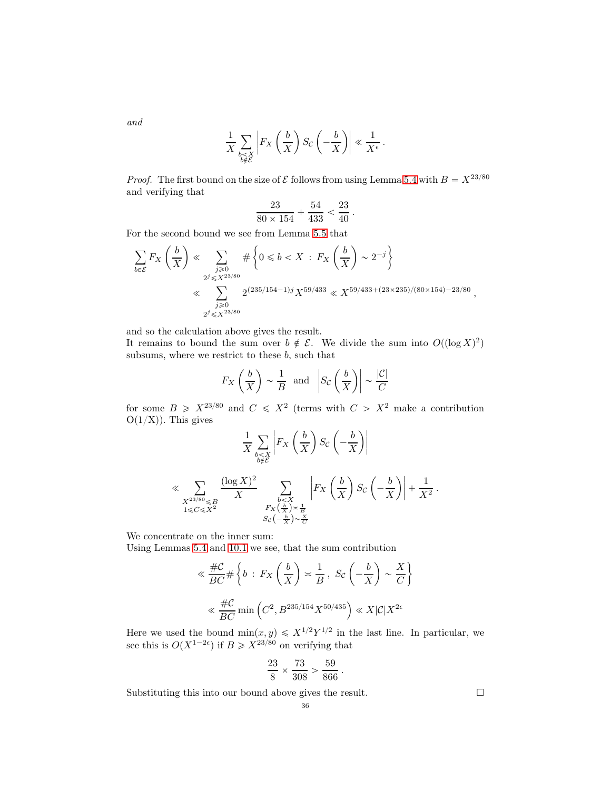and

$$
\frac{1}{X} \sum_{\substack{b \leq X \\ b \notin \mathcal{E}}} \left| F_X \left( \frac{b}{X} \right) S_{\mathcal{C}} \left( -\frac{b}{X} \right) \right| \ll \frac{1}{X^{\epsilon}} \, .
$$

*Proof.* The first bound on the size of  $\mathcal E$  follows from using Lemma [5.4](#page-17-1) with  $B = X^{23/80}$ and verifying that

$$
\frac{23}{80 \times 154} + \frac{54}{433} < \frac{23}{40}
$$

.

For the second bound we see from Lemma [5.5](#page-17-0) that

$$
\sum_{b \in \mathcal{E}} F_X \left( \frac{b}{X} \right) \ll \sum_{\substack{j \ge 0 \\ 2^j \le X^{23/80} \\ \vdots \\ 2^j \le X^{23/80}}} \# \left\{ 0 \le b < X \ : \ F_X \left( \frac{b}{X} \right) \sim 2^{-j} \right\}
$$
\n
$$
\ll \sum_{\substack{j \ge 0 \\ 2^j \le X^{23/80}}} 2^{(235/154 - 1)j} X^{59/433} \ll X^{59/433 + (23 \times 235)/(80 \times 154) - 23/80}
$$

and so the calculation above gives the result.

It remains to bound the sum over  $b \notin \mathcal{E}$ . We divide the sum into  $O((\log X)^2)$ subsums, where we restrict to these  $b$ , such that

$$
F_X\left(\frac{b}{X}\right) \sim \frac{1}{B}
$$
 and  $\left|S_C\left(\frac{b}{X}\right)\right| \sim \frac{|C|}{C}$ 

for some  $B \geq X^{23/80}$  and  $C \leq X^2$  (terms with  $C > X^2$  make a contribution  $O(1/X)$ ). This gives

$$
\frac{1}{X} \sum_{\substack{b < X \\ b \notin \mathcal{E}}} \left| F_X \left( \frac{b}{X} \right) S_{\mathcal{C}} \left( -\frac{b}{X} \right) \right|
$$
\n
$$
\ll \sum_{\substack{X^{23/80} \leq B \\ 1 \leq C \leq X^2}} \frac{(\log X)^2}{X} \sum_{\substack{b < X \\ F_X \left( \frac{b}{X} \right) \asymp \frac{1}{B} \\ S_{\mathcal{C}} \left( -\frac{b}{X} \right) \sim \frac{X}{C}}} \left| F_X \left( \frac{b}{X} \right) S_{\mathcal{C}} \left( -\frac{b}{X} \right) \right| + \frac{1}{X^2} \, .
$$

We concentrate on the inner sum:

Using Lemmas [5.4](#page-17-1) and [10.1](#page-34-0) we see, that the sum contribution

$$
\ll \frac{\#C}{BC} \# \left\{ b : F_X \left( \frac{b}{X} \right) \asymp \frac{1}{B}, \ S_C \left( -\frac{b}{X} \right) \sim \frac{X}{C} \right\}
$$

$$
\ll \frac{\#C}{BC} \min \left( C^2, B^{235/154} X^{50/435} \right) \ll X |C| X^{2\epsilon}
$$

Here we used the bound  $\min(x, y) \leq X^{1/2} Y^{1/2}$  in the last line. In particular, we see this is  $O(X^{1-2\epsilon})$  if  $B \geqslant X^{23/80}$  on verifying that

$$
\frac{23}{8} \times \frac{73}{308} > \frac{59}{866}.
$$

Substituting this into our bound above gives the result.  $\Box$ 

,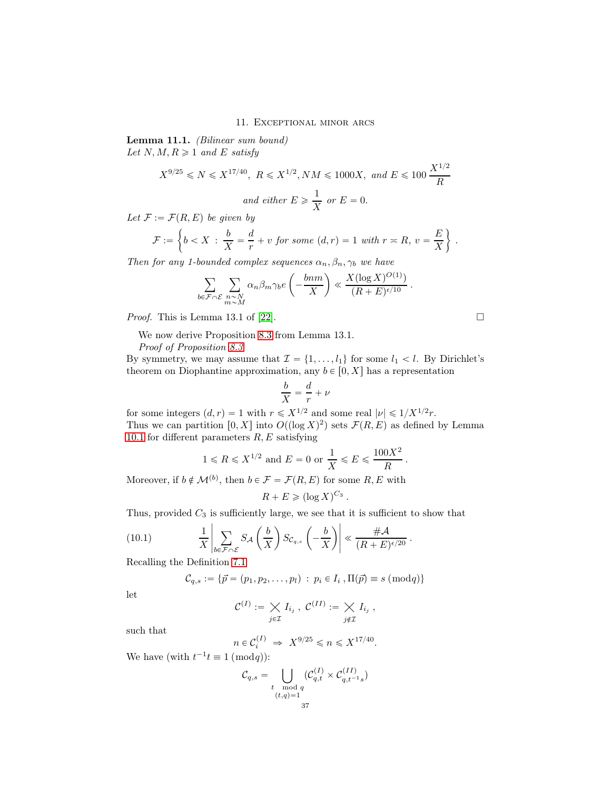#### 11. Exceptional minor arcs

Lemma 11.1. (Bilinear sum bound) Let  $N, M, R \geq 1$  and E satisfy

$$
X^{9/25} \le N \le X^{17/40}
$$
,  $R \le X^{1/2}$ ,  $NM \le 1000X$ , and  $E \le 100 \frac{X^{1/2}}{R}$   
and either  $E \ge \frac{1}{X}$  or  $E = 0$ .

Let  $\mathcal{F} := \mathcal{F}(R, E)$  be given by

$$
\mathcal{F} := \left\{ b < X \; : \; \frac{b}{X} = \frac{d}{r} + v \; \text{for some} \; (d, r) = 1 \; \text{with} \; r \asymp R, \; v = \frac{E}{X} \right\} \; .
$$

Then for any 1-bounded complex sequences  $\alpha_n, \beta_n, \gamma_b$  we have

$$
\sum_{b \in \mathcal{F} \cap \mathcal{E}} \sum_{\substack{n \sim N \\ m \sim M}} \alpha_n \beta_m \gamma_b e\left(-\frac{bnm}{X}\right) \ll \frac{X(\log X)^{O(1)}}{(R+E)^{\epsilon/10}}.
$$

Proof. This is Lemma 13.1 of [\[22\]](#page-38-14).

We now derive Proposition [8.3](#page-31-2) from Lemma 13.1.

Proof of Proposition [8.3](#page-31-2).

By symmetry, we may assume that  $\mathcal{I} = \{1, \ldots, l_1\}$  for some  $l_1 < l$ . By Dirichlet's theorem on Diophantine approximation, any  $b \in [0, X]$  has a representation

$$
\frac{b}{X} = \frac{d}{r} + \nu
$$

for some integers  $(d, r) = 1$  with  $r \leq X^{1/2}$  and some real  $|\nu| \leq 1/X^{1/2}r$ . Thus we can partition  $[0, X]$  into  $O((\log X)^2)$  sets  $\mathcal{F}(R, E)$  as defined by Lemma [10.1](#page-34-0) for different parameters  $R, E$  satisfying

$$
1\leqslant R\leqslant X^{1/2}
$$
 and  $E=0$  or  $\frac{1}{X}\leqslant E\leqslant \frac{100X^2}{R}$ 

Moreover, if  $b \notin \mathcal{M}^{(b)}$ , then  $b \in \mathcal{F} = \mathcal{F}(R, E)$  for some  $R, E$  with

$$
R + E \ge (\log X)^{C_3}.
$$

Thus, provided  $C_3$  is sufficiently large, we see that it is sufficient to show that

(10.1) 
$$
\frac{1}{X}\left|\sum_{b\in\mathcal{F}\cap\mathcal{E}}S_{\mathcal{A}}\left(\frac{b}{X}\right)S_{\mathcal{C}_{q,s}}\left(-\frac{b}{X}\right)\right| \ll \frac{\#\mathcal{A}}{(R+E)^{\epsilon/20}}.
$$

Recalling the Definition [7.1](#page-30-2)

$$
C_{q,s} := \{\vec{p} = (p_1, p_2, \dots, p_l) : p_i \in I_i, \Pi(\vec{p}) \equiv s \pmod{q}\}\
$$

let

$$
\mathcal{C}^{(I)} := \bigtimes_{j \in \mathcal{I}} I_{i_j} , \ \mathcal{C}^{(II)} := \bigtimes_{j \notin \mathcal{I}} I_{i_j} ,
$$

such that

$$
n \in \mathcal{C}_i^{(I)} \implies X^{9/25} \leq n \leq X^{17/40}.
$$

We have (with  $t^{-1}t \equiv 1 \pmod{q}$ ):

$$
\mathcal{C}_{q,s} = \bigcup_{\substack{t \mod q \\ (t,q)=1}} (\mathcal{C}_{q,t}^{(I)} \times \mathcal{C}_{q,t^{-1}s}^{(II)})
$$

.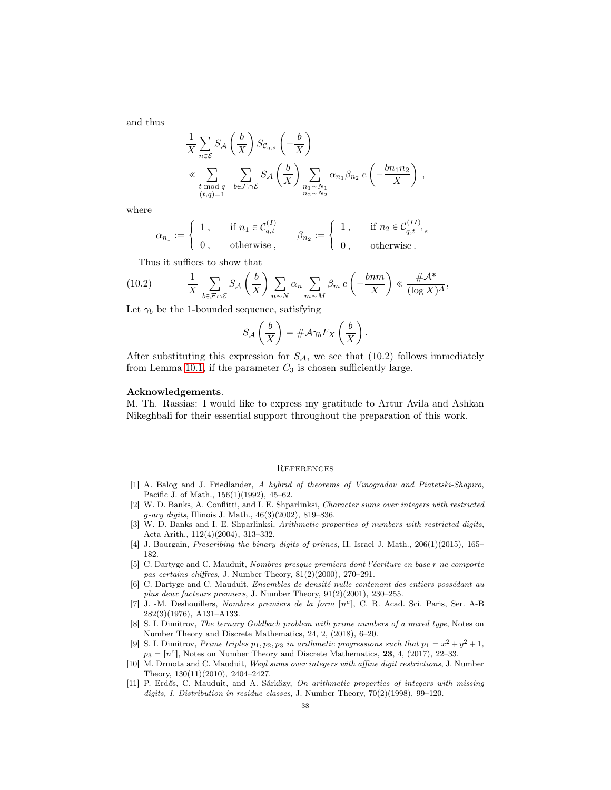and thus

$$
\frac{1}{X} \sum_{n \in \mathcal{E}} S_{\mathcal{A}} \left( \frac{b}{X} \right) S_{\mathcal{C}_{q,s}} \left( -\frac{b}{X} \right)
$$
\n
$$
\ll \sum_{\substack{t \bmod q \\ (t,q)=1}} \sum_{b \in \mathcal{F} \cap \mathcal{E}} S_{\mathcal{A}} \left( \frac{b}{X} \right) \sum_{\substack{n_1 \sim N_1 \\ n_2 \sim N_2}} \alpha_{n_1} \beta_{n_2} e \left( -\frac{bn_1 n_2}{X} \right) ,
$$

where

$$
\alpha_{n_1} := \begin{cases} 1, & \text{if } n_1 \in \mathcal{C}_{q,t}^{(I)} \\ 0, & \text{otherwise} \end{cases}, \qquad \beta_{n_2} := \begin{cases} 1, & \text{if } n_2 \in \mathcal{C}_{q,t^{-1}s}^{(II)} \\ 0, & \text{otherwise} \end{cases}
$$

Thus it suffices to show that

(10.2) 
$$
\frac{1}{X} \sum_{b \in \mathcal{F} \cap \mathcal{E}} S_{\mathcal{A}} \left( \frac{b}{X} \right) \sum_{n \sim N} \alpha_n \sum_{m \sim M} \beta_m e \left( -\frac{bnm}{X} \right) \ll \frac{\# \mathcal{A}^*}{(\log X)^A},
$$

Let  $\gamma_b$  be the 1-bounded sequence, satisfying

$$
S_{\mathcal{A}}\left(\frac{b}{X}\right) = \#\mathcal{A}\gamma_b F_X\left(\frac{b}{X}\right).
$$

After substituting this expression for  $S_A$ , we see that (10.2) follows immediately from Lemma [10.1,](#page-34-0) if the parameter  $C_3$  is chosen sufficiently large.

#### Acknowledgements.

M. Th. Rassias: I would like to express my gratitude to Artur Avila and Ashkan Nikeghbali for their essential support throughout the preparation of this work.

#### **REFERENCES**

- <span id="page-37-1"></span>[1] A. Balog and J. Friedlander, A hybrid of theorems of Vinogradov and Piatetski-Shapiro, Pacific J. of Math., 156(1)(1992), 45–62.
- <span id="page-37-2"></span>[2] W. D. Banks, A. Conflitti, and I. E. Shparlinksi, Character sums over integers with restricted g-ary digits, Illinois J. Math., 46(3)(2002), 819–836.
- <span id="page-37-3"></span>[3] W. D. Banks and I. E. Shparlinksi, Arithmetic properties of numbers with restricted digits, Acta Arith., 112(4)(2004), 313–332.
- <span id="page-37-4"></span>[4] J. Bourgain, Prescribing the binary digits of primes, II. Israel J. Math., 206(1)(2015), 165– 182.
- <span id="page-37-5"></span>[5] C. Dartyge and C. Mauduit, Nombres presque premiers dont l'écriture en base r ne comporte pas certains chiffres, J. Number Theory, 81(2)(2000), 270–291.
- <span id="page-37-8"></span>[6] C. Dartyge and C. Mauduit, Ensembles de densité nulle contenant des entiers possédant au plus deux facteurs premiers, J. Number Theory, 91(2)(2001), 230–255.
- <span id="page-37-0"></span>[7] J. -M. Deshouillers, Nombres premiers de la form [n<sup>c</sup>], C. R. Acad. Sci. Paris, Ser. A-B 282(3)(1976), A131–A133.
- <span id="page-37-6"></span>[8] S. I. Dimitrov, The ternary Goldbach problem with prime numbers of a mixed type, Notes on Number Theory and Discrete Mathematics, 24, 2, (2018), 6–20.
- <span id="page-37-7"></span>[9] S. I. Dimitrov, Prime triples  $p_1, p_2, p_3$  in arithmetic progressions such that  $p_1 = x^2 + y^2 + 1$ ,  $p_3 = [n^c]$ , Notes on Number Theory and Discrete Mathematics, 23, 4, (2017), 22–33.
- <span id="page-37-9"></span>[10] M. Drmota and C. Mauduit, Weyl sums over integers with affine digit restrictions, J. Number Theory, 130(11)(2010), 2404–2427.
- <span id="page-37-10"></span>[11] P. Erdős, C. Mauduit, and A. Sárközy, On arithmetic properties of integers with missing digits, I. Distribution in residue classes, J. Number Theory, 70(2)(1998), 99–120.